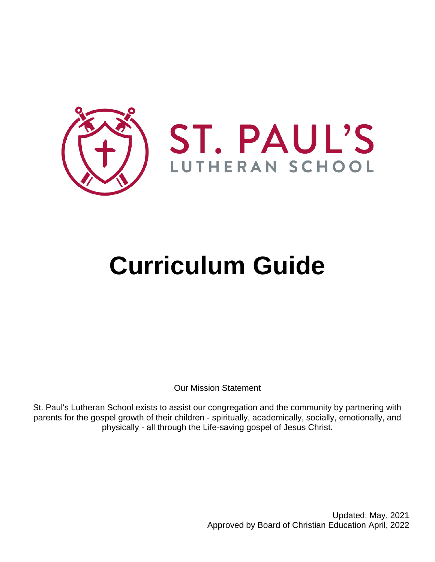

# **Curriculum Guide**

Our Mission Statement

St. Paul's Lutheran School exists to assist our congregation and the community by partnering with parents for the gospel growth of their children - spiritually, academically, socially, emotionally, and physically - all through the Life-saving gospel of Jesus Christ.

> Updated: May, 2021 Approved by Board of Christian Education April, 2022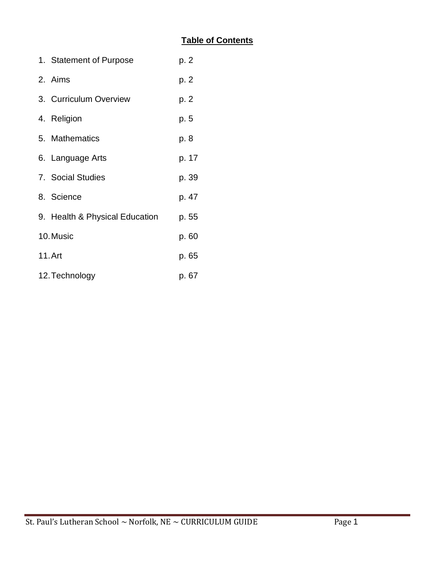# **Table of Contents**

|                | 1. Statement of Purpose        | p. 2  |
|----------------|--------------------------------|-------|
|                | 2. Aims                        | p. 2  |
|                | 3. Curriculum Overview         | p. 2  |
|                | 4. Religion                    | p. 5  |
|                | 5. Mathematics                 | p. 8  |
|                | 6. Language Arts               | p. 17 |
|                | 7. Social Studies              | p. 39 |
|                | 8. Science                     | p. 47 |
|                | 9. Health & Physical Education | p. 55 |
| 10. Music      |                                | p. 60 |
| 11. Art        |                                | p. 65 |
| 12. Technology |                                | p. 67 |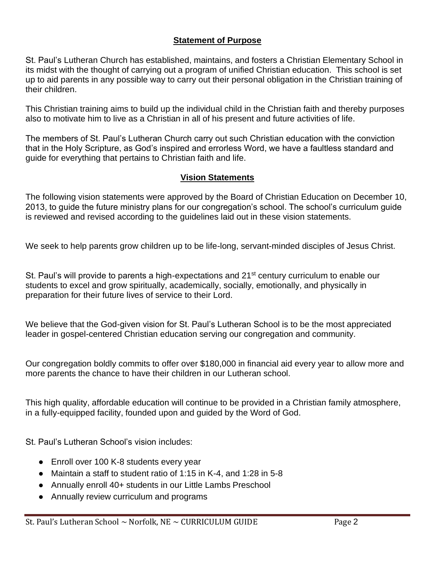#### **Statement of Purpose**

St. Paul's Lutheran Church has established, maintains, and fosters a Christian Elementary School in its midst with the thought of carrying out a program of unified Christian education. This school is set up to aid parents in any possible way to carry out their personal obligation in the Christian training of their children.

This Christian training aims to build up the individual child in the Christian faith and thereby purposes also to motivate him to live as a Christian in all of his present and future activities of life.

The members of St. Paul's Lutheran Church carry out such Christian education with the conviction that in the Holy Scripture, as God's inspired and errorless Word, we have a faultless standard and guide for everything that pertains to Christian faith and life.

#### **Vision Statements**

The following vision statements were approved by the Board of Christian Education on December 10, 2013, to guide the future ministry plans for our congregation's school. The school's curriculum guide is reviewed and revised according to the guidelines laid out in these vision statements.

We seek to help parents grow children up to be life-long, servant-minded disciples of Jesus Christ.

St. Paul's will provide to parents a high-expectations and 21<sup>st</sup> century curriculum to enable our students to excel and grow spiritually, academically, socially, emotionally, and physically in preparation for their future lives of service to their Lord.

We believe that the God-given vision for St. Paul's Lutheran School is to be the most appreciated leader in gospel-centered Christian education serving our congregation and community.

Our congregation boldly commits to offer over \$180,000 in financial aid every year to allow more and more parents the chance to have their children in our Lutheran school.

This high quality, affordable education will continue to be provided in a Christian family atmosphere, in a fully-equipped facility, founded upon and guided by the Word of God.

St. Paul's Lutheran School's vision includes:

- Enroll over 100 K-8 students every year
- Maintain a staff to student ratio of 1:15 in K-4, and 1:28 in 5-8
- Annually enroll 40+ students in our Little Lambs Preschool
- Annually review curriculum and programs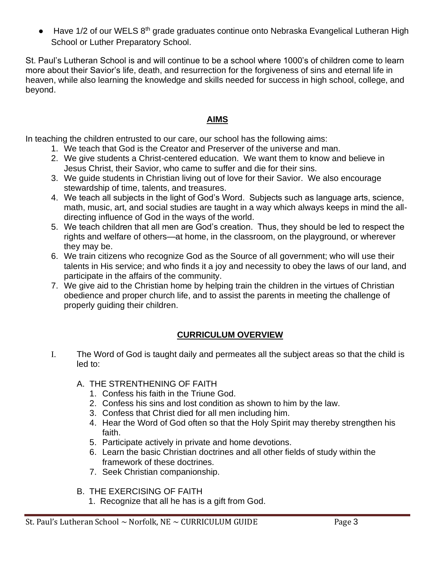● Have 1/2 of our WELS 8<sup>th</sup> grade graduates continue onto Nebraska Evangelical Lutheran High School or Luther Preparatory School.

St. Paul's Lutheran School is and will continue to be a school where 1000's of children come to learn more about their Savior's life, death, and resurrection for the forgiveness of sins and eternal life in heaven, while also learning the knowledge and skills needed for success in high school, college, and beyond.

#### **AIMS**

In teaching the children entrusted to our care, our school has the following aims:

- 1. We teach that God is the Creator and Preserver of the universe and man.
- 2. We give students a Christ-centered education. We want them to know and believe in Jesus Christ, their Savior, who came to suffer and die for their sins.
- 3. We guide students in Christian living out of love for their Savior. We also encourage stewardship of time, talents, and treasures.
- 4. We teach all subjects in the light of God's Word. Subjects such as language arts, science, math, music, art, and social studies are taught in a way which always keeps in mind the alldirecting influence of God in the ways of the world.
- 5. We teach children that all men are God's creation. Thus, they should be led to respect the rights and welfare of others—at home, in the classroom, on the playground, or wherever they may be.
- 6. We train citizens who recognize God as the Source of all government; who will use their talents in His service; and who finds it a joy and necessity to obey the laws of our land, and participate in the affairs of the community.
- 7. We give aid to the Christian home by helping train the children in the virtues of Christian obedience and proper church life, and to assist the parents in meeting the challenge of properly guiding their children.

# **CURRICULUM OVERVIEW**

- I. The Word of God is taught daily and permeates all the subject areas so that the child is led to:
	- A. THE STRENTHENING OF FAITH
		- 1. Confess his faith in the Triune God.
		- 2. Confess his sins and lost condition as shown to him by the law.
		- 3. Confess that Christ died for all men including him.
		- 4. Hear the Word of God often so that the Holy Spirit may thereby strengthen his faith.
		- 5. Participate actively in private and home devotions.
		- 6. Learn the basic Christian doctrines and all other fields of study within the framework of these doctrines.
		- 7. Seek Christian companionship.
	- B. THE EXERCISING OF FAITH
		- 1. Recognize that all he has is a gift from God.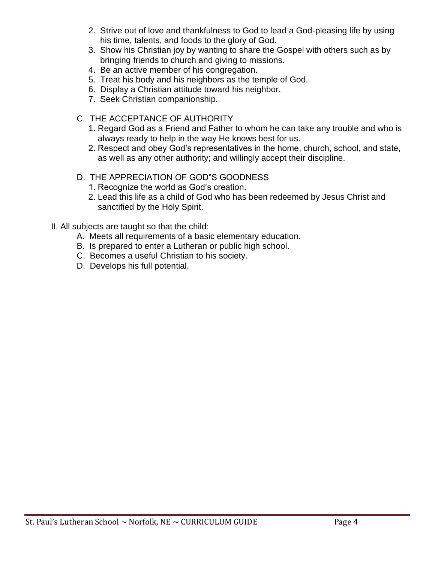- 2. Strive out of love and thankfulness to God to lead a God-pleasing life by using his time, talents, and foods to the glory of God.
- 3. Show his Christian joy by wanting to share the Gospel with others such as by bringing friends to church and giving to missions.
- 4. Be an active member of his congregation.
- 5. Treat his body and his neighbors as the temple of God.
- 6. Display a Christian attitude toward his neighbor.
- 7. Seek Christian companionship.
- C. THE ACCEPTANCE OF AUTHORITY
	- 1. Regard God as a Friend and Father to whom he can take any trouble and who is always ready to help in the way He knows best for us.
	- 2. Respect and obey God's representatives in the home, church, school, and state, as well as any other authority; and willingly accept their discipline.
- D. THE APPRECIATION OF GOD"S GOODNESS
	- 1. Recognize the world as God's creation.
	- 2. Lead this life as a child of God who has been redeemed by Jesus Christ and sanctified by the Holy Spirit.
- II. All subjects are taught so that the child:
	- A. Meets all requirements of a basic elementary education.
	- B. Is prepared to enter a Lutheran or public high school.
	- C. Becomes a useful Christian to his society.
	- D. Develops his full potential.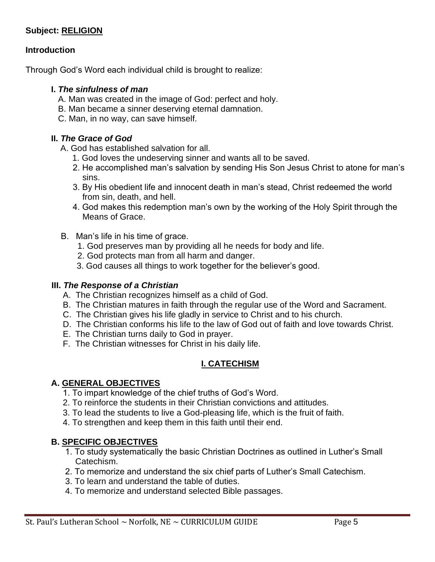#### **Subject: RELIGION**

#### **Introduction**

Through God's Word each individual child is brought to realize:

#### **I.** *The sinfulness of man*

- A. Man was created in the image of God: perfect and holy.
- B. Man became a sinner deserving eternal damnation.
- C. Man, in no way, can save himself.

#### **II.** *The Grace of God*

- A. God has established salvation for all.
	- 1. God loves the undeserving sinner and wants all to be saved.
	- 2. He accomplished man's salvation by sending His Son Jesus Christ to atone for man's sins.
	- 3. By His obedient life and innocent death in man's stead, Christ redeemed the world from sin, death, and hell.
	- 4. God makes this redemption man's own by the working of the Holy Spirit through the Means of Grace.
- B. Man's life in his time of grace.
	- 1. God preserves man by providing all he needs for body and life.
	- 2. God protects man from all harm and danger.
	- 3. God causes all things to work together for the believer's good.

#### **III.** *The Response of a Christian*

- A. The Christian recognizes himself as a child of God.
- B. The Christian matures in faith through the regular use of the Word and Sacrament.
- C. The Christian gives his life gladly in service to Christ and to his church.
- D. The Christian conforms his life to the law of God out of faith and love towards Christ.
- E. The Christian turns daily to God in prayer.
- F. The Christian witnesses for Christ in his daily life.

#### **I. CATECHISM**

#### **A. GENERAL OBJECTIVES**

- 1. To impart knowledge of the chief truths of God's Word.
- 2. To reinforce the students in their Christian convictions and attitudes.
- 3. To lead the students to live a God-pleasing life, which is the fruit of faith.
- 4. To strengthen and keep them in this faith until their end.

#### **B. SPECIFIC OBJECTIVES**

- 1. To study systematically the basic Christian Doctrines as outlined in Luther's Small Catechism.
- 2. To memorize and understand the six chief parts of Luther's Small Catechism.
- 3. To learn and understand the table of duties.
- 4. To memorize and understand selected Bible passages.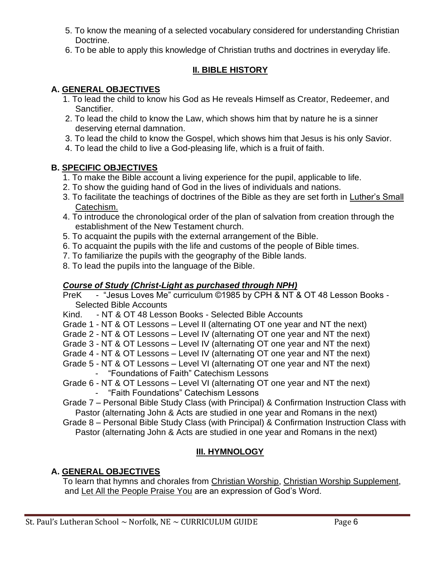- 5. To know the meaning of a selected vocabulary considered for understanding Christian Doctrine.
- 6. To be able to apply this knowledge of Christian truths and doctrines in everyday life.

# **II. BIBLE HISTORY**

# **A. GENERAL OBJECTIVES**

- 1. To lead the child to know his God as He reveals Himself as Creator, Redeemer, and Sanctifier.
- 2. To lead the child to know the Law, which shows him that by nature he is a sinner deserving eternal damnation.
- 3. To lead the child to know the Gospel, which shows him that Jesus is his only Savior.
- 4. To lead the child to live a God-pleasing life, which is a fruit of faith.

# **B. SPECIFIC OBJECTIVES**

- 1. To make the Bible account a living experience for the pupil, applicable to life.
- 2. To show the guiding hand of God in the lives of individuals and nations.
- 3. To facilitate the teachings of doctrines of the Bible as they are set forth in Luther's Small Catechism.
- 4. To introduce the chronological order of the plan of salvation from creation through the establishment of the New Testament church.
- 5. To acquaint the pupils with the external arrangement of the Bible.
- 6. To acquaint the pupils with the life and customs of the people of Bible times.
- 7. To familiarize the pupils with the geography of the Bible lands.
- 8. To lead the pupils into the language of the Bible.

# *Course of Study (Christ-Light as purchased through NPH)*

PreK - "Jesus Loves Me" curriculum ©1985 by CPH & NT & OT 48 Lesson Books -Selected Bible Accounts

Kind. - NT & OT 48 Lesson Books - Selected Bible Accounts

- Grade 1 NT & OT Lessons Level II (alternating OT one year and NT the next)
- Grade 2 NT & OT Lessons Level IV (alternating OT one year and NT the next)
- Grade 3 NT & OT Lessons Level IV (alternating OT one year and NT the next)
- Grade 4 NT & OT Lessons Level IV (alternating OT one year and NT the next)
- Grade 5 NT & OT Lessons Level VI (alternating OT one year and NT the next) - "Foundations of Faith" Catechism Lessons
- Grade 6 NT & OT Lessons Level VI (alternating OT one year and NT the next)
	- "Faith Foundations" Catechism Lessons
- Grade 7 Personal Bible Study Class (with Principal) & Confirmation Instruction Class with Pastor (alternating John & Acts are studied in one year and Romans in the next)
- Grade 8 Personal Bible Study Class (with Principal) & Confirmation Instruction Class with Pastor (alternating John & Acts are studied in one year and Romans in the next)

# **III. HYMNOLOGY**

# **A. GENERAL OBJECTIVES**

 To learn that hymns and chorales from Christian Worship, Christian Worship Supplement, and Let All the People Praise You are an expression of God's Word.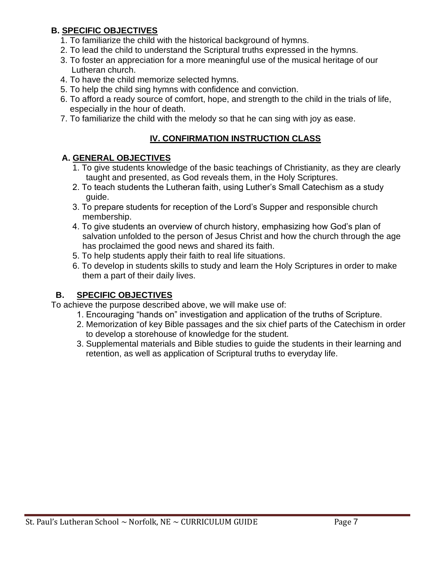# **B. SPECIFIC OBJECTIVES**

- 1. To familiarize the child with the historical background of hymns.
- 2. To lead the child to understand the Scriptural truths expressed in the hymns.
- 3. To foster an appreciation for a more meaningful use of the musical heritage of our Lutheran church.
- 4. To have the child memorize selected hymns.
- 5. To help the child sing hymns with confidence and conviction.
- 6. To afford a ready source of comfort, hope, and strength to the child in the trials of life, especially in the hour of death.
- 7. To familiarize the child with the melody so that he can sing with joy as ease.

# **IV. CONFIRMATION INSTRUCTION CLASS**

#### **A. GENERAL OBJECTIVES**

- 1. To give students knowledge of the basic teachings of Christianity, as they are clearly taught and presented, as God reveals them, in the Holy Scriptures.
- 2. To teach students the Lutheran faith, using Luther's Small Catechism as a study guide.
- 3. To prepare students for reception of the Lord's Supper and responsible church membership.
- 4. To give students an overview of church history, emphasizing how God's plan of salvation unfolded to the person of Jesus Christ and how the church through the age has proclaimed the good news and shared its faith.
- 5. To help students apply their faith to real life situations.
- 6. To develop in students skills to study and learn the Holy Scriptures in order to make them a part of their daily lives.

# **B. SPECIFIC OBJECTIVES**

To achieve the purpose described above, we will make use of:

- 1. Encouraging "hands on" investigation and application of the truths of Scripture.
- 2. Memorization of key Bible passages and the six chief parts of the Catechism in order to develop a storehouse of knowledge for the student.
- 3. Supplemental materials and Bible studies to guide the students in their learning and retention, as well as application of Scriptural truths to everyday life.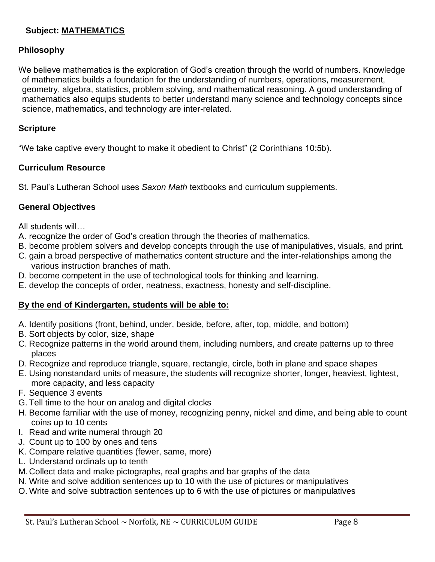#### **Subject: MATHEMATICS**

#### **Philosophy**

We believe mathematics is the exploration of God's creation through the world of numbers. Knowledge of mathematics builds a foundation for the understanding of numbers, operations, measurement, geometry, algebra, statistics, problem solving, and mathematical reasoning. A good understanding of mathematics also equips students to better understand many science and technology concepts since science, mathematics, and technology are inter-related.

#### **Scripture**

"We take captive every thought to make it obedient to Christ" (2 Corinthians 10:5b).

#### **Curriculum Resource**

St. Paul's Lutheran School uses *Saxon Math* textbooks and curriculum supplements.

#### **General Objectives**

All students will…

- A. recognize the order of God's creation through the theories of mathematics.
- B. become problem solvers and develop concepts through the use of manipulatives, visuals, and print.
- C. gain a broad perspective of mathematics content structure and the inter-relationships among the various instruction branches of math.
- D. become competent in the use of technological tools for thinking and learning.
- E. develop the concepts of order, neatness, exactness, honesty and self-discipline.

#### **By the end of Kindergarten, students will be able to:**

- A. Identify positions (front, behind, under, beside, before, after, top, middle, and bottom)
- B. Sort objects by color, size, shape
- C. Recognize patterns in the world around them, including numbers, and create patterns up to three places
- D. Recognize and reproduce triangle, square, rectangle, circle, both in plane and space shapes
- E. Using nonstandard units of measure, the students will recognize shorter, longer, heaviest, lightest, more capacity, and less capacity
- F. Sequence 3 events
- G. Tell time to the hour on analog and digital clocks
- H. Become familiar with the use of money, recognizing penny, nickel and dime, and being able to count coins up to 10 cents
- I. Read and write numeral through 20
- J. Count up to 100 by ones and tens
- K. Compare relative quantities (fewer, same, more)
- L. Understand ordinals up to tenth
- M.Collect data and make pictographs, real graphs and bar graphs of the data
- N. Write and solve addition sentences up to 10 with the use of pictures or manipulatives
- O. Write and solve subtraction sentences up to 6 with the use of pictures or manipulatives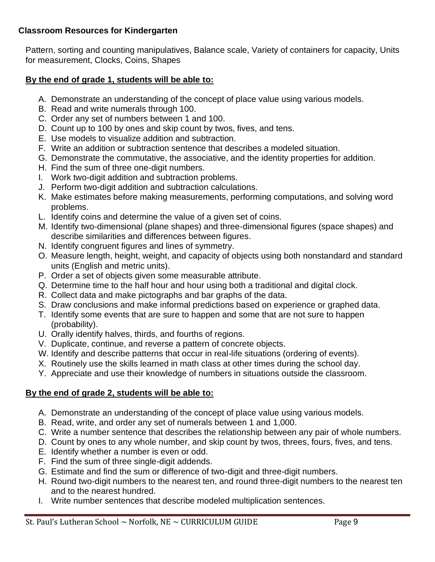#### **Classroom Resources for Kindergarten**

Pattern, sorting and counting manipulatives, Balance scale, Variety of containers for capacity, Units for measurement, Clocks, Coins, Shapes

# **By the end of grade 1, students will be able to:**

- A. Demonstrate an understanding of the concept of place value using various models.
- B. Read and write numerals through 100.
- C. Order any set of numbers between 1 and 100.
- D. Count up to 100 by ones and skip count by twos, fives, and tens.
- E. Use models to visualize addition and subtraction.
- F. Write an addition or subtraction sentence that describes a modeled situation.
- G. Demonstrate the commutative, the associative, and the identity properties for addition.
- H. Find the sum of three one-digit numbers.
- I. Work two-digit addition and subtraction problems.
- J. Perform two-digit addition and subtraction calculations.
- K. Make estimates before making measurements, performing computations, and solving word problems.
- L. Identify coins and determine the value of a given set of coins.
- M. Identify two-dimensional (plane shapes) and three-dimensional figures (space shapes) and describe similarities and differences between figures.
- N. Identify congruent figures and lines of symmetry.
- O. Measure length, height, weight, and capacity of objects using both nonstandard and standard units (English and metric units).
- P. Order a set of objects given some measurable attribute.
- Q. Determine time to the half hour and hour using both a traditional and digital clock.
- R. Collect data and make pictographs and bar graphs of the data.
- S. Draw conclusions and make informal predictions based on experience or graphed data.
- T. Identify some events that are sure to happen and some that are not sure to happen (probability).
- U. Orally identify halves, thirds, and fourths of regions.
- V. Duplicate, continue, and reverse a pattern of concrete objects.
- W. Identify and describe patterns that occur in real-life situations (ordering of events).
- X. Routinely use the skills learned in math class at other times during the school day.
- Y. Appreciate and use their knowledge of numbers in situations outside the classroom.

# **By the end of grade 2, students will be able to:**

- A. Demonstrate an understanding of the concept of place value using various models.
- B. Read, write, and order any set of numerals between 1 and 1,000.
- C. Write a number sentence that describes the relationship between any pair of whole numbers.
- D. Count by ones to any whole number, and skip count by twos, threes, fours, fives, and tens.
- E. Identify whether a number is even or odd.
- F. Find the sum of three single-digit addends.
- G. Estimate and find the sum or difference of two-digit and three-digit numbers.
- H. Round two-digit numbers to the nearest ten, and round three-digit numbers to the nearest ten and to the nearest hundred.
- I. Write number sentences that describe modeled multiplication sentences.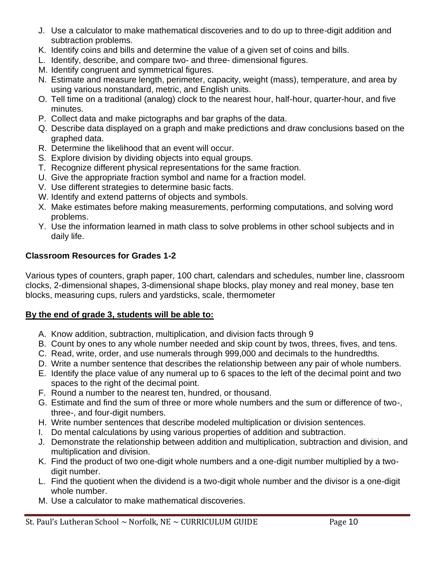- J. Use a calculator to make mathematical discoveries and to do up to three-digit addition and subtraction problems.
- K. Identify coins and bills and determine the value of a given set of coins and bills.
- L. Identify, describe, and compare two- and three- dimensional figures.
- M. Identify congruent and symmetrical figures.
- N. Estimate and measure length, perimeter, capacity, weight (mass), temperature, and area by using various nonstandard, metric, and English units.
- O. Tell time on a traditional (analog) clock to the nearest hour, half-hour, quarter-hour, and five minutes.
- P. Collect data and make pictographs and bar graphs of the data.
- Q. Describe data displayed on a graph and make predictions and draw conclusions based on the graphed data.
- R. Determine the likelihood that an event will occur.
- S. Explore division by dividing objects into equal groups.
- T. Recognize different physical representations for the same fraction.
- U. Give the appropriate fraction symbol and name for a fraction model.
- V. Use different strategies to determine basic facts.
- W. Identify and extend patterns of objects and symbols.
- X. Make estimates before making measurements, performing computations, and solving word problems.
- Y. Use the information learned in math class to solve problems in other school subjects and in daily life.

#### **Classroom Resources for Grades 1-2**

Various types of counters, graph paper, 100 chart, calendars and schedules, number line, classroom clocks, 2-dimensional shapes, 3-dimensional shape blocks, play money and real money, base ten blocks, measuring cups, rulers and yardsticks, scale, thermometer

#### **By the end of grade 3, students will be able to:**

- A. Know addition, subtraction, multiplication, and division facts through 9
- B. Count by ones to any whole number needed and skip count by twos, threes, fives, and tens.
- C. Read, write, order, and use numerals through 999,000 and decimals to the hundredths.
- D. Write a number sentence that describes the relationship between any pair of whole numbers.
- E. Identify the place value of any numeral up to 6 spaces to the left of the decimal point and two spaces to the right of the decimal point.
- F. Round a number to the nearest ten, hundred, or thousand.
- G. Estimate and find the sum of three or more whole numbers and the sum or difference of two-, three-, and four-digit numbers.
- H. Write number sentences that describe modeled multiplication or division sentences.
- I. Do mental calculations by using various properties of addition and subtraction.
- J. Demonstrate the relationship between addition and multiplication, subtraction and division, and multiplication and division.
- K. Find the product of two one-digit whole numbers and a one-digit number multiplied by a twodigit number.
- L. Find the quotient when the dividend is a two-digit whole number and the divisor is a one-digit whole number.
- M. Use a calculator to make mathematical discoveries.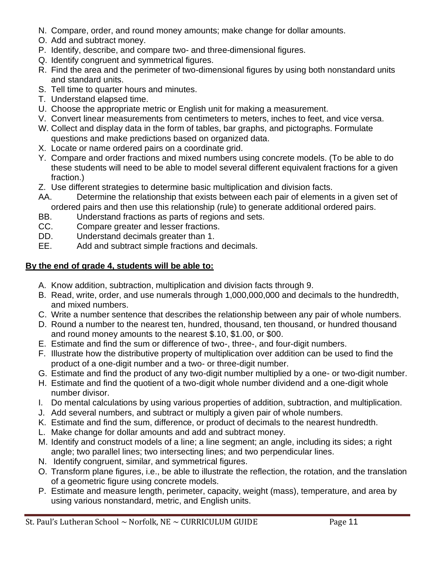- N. Compare, order, and round money amounts; make change for dollar amounts.
- O. Add and subtract money.
- P. Identify, describe, and compare two- and three-dimensional figures.
- Q. Identify congruent and symmetrical figures.
- R. Find the area and the perimeter of two-dimensional figures by using both nonstandard units and standard units.
- S. Tell time to quarter hours and minutes.
- T. Understand elapsed time.
- U. Choose the appropriate metric or English unit for making a measurement.
- V. Convert linear measurements from centimeters to meters, inches to feet, and vice versa.
- W. Collect and display data in the form of tables, bar graphs, and pictographs. Formulate questions and make predictions based on organized data.
- X. Locate or name ordered pairs on a coordinate grid.
- Y. Compare and order fractions and mixed numbers using concrete models. (To be able to do these students will need to be able to model several different equivalent fractions for a given fraction.)
- Z. Use different strategies to determine basic multiplication and division facts.
- AA. Determine the relationship that exists between each pair of elements in a given set of ordered pairs and then use this relationship (rule) to generate additional ordered pairs.
- BB. Understand fractions as parts of regions and sets.
- CC. Compare greater and lesser fractions.
- DD. Understand decimals greater than 1.
- EE. Add and subtract simple fractions and decimals.

#### **By the end of grade 4, students will be able to:**

- A. Know addition, subtraction, multiplication and division facts through 9.
- B. Read, write, order, and use numerals through 1,000,000,000 and decimals to the hundredth, and mixed numbers.
- C. Write a number sentence that describes the relationship between any pair of whole numbers.
- D. Round a number to the nearest ten, hundred, thousand, ten thousand, or hundred thousand and round money amounts to the nearest \$.10, \$1.00, or \$00.
- E. Estimate and find the sum or difference of two-, three-, and four-digit numbers.
- F. Illustrate how the distributive property of multiplication over addition can be used to find the product of a one-digit number and a two- or three-digit number.
- G. Estimate and find the product of any two-digit number multiplied by a one- or two-digit number.
- H. Estimate and find the quotient of a two-digit whole number dividend and a one-digit whole number divisor.
- I. Do mental calculations by using various properties of addition, subtraction, and multiplication.
- J. Add several numbers, and subtract or multiply a given pair of whole numbers.
- K. Estimate and find the sum, difference, or product of decimals to the nearest hundredth.
- L. Make change for dollar amounts and add and subtract money.
- M. Identify and construct models of a line; a line segment; an angle, including its sides; a right angle; two parallel lines; two intersecting lines; and two perpendicular lines.
- N. Identify congruent, similar, and symmetrical figures.
- O. Transform plane figures, i.e., be able to illustrate the reflection, the rotation, and the translation of a geometric figure using concrete models.
- P. Estimate and measure length, perimeter, capacity, weight (mass), temperature, and area by using various nonstandard, metric, and English units.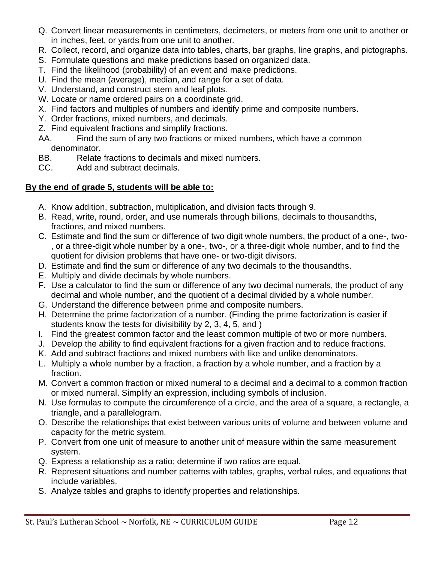- Q. Convert linear measurements in centimeters, decimeters, or meters from one unit to another or in inches, feet, or yards from one unit to another.
- R. Collect, record, and organize data into tables, charts, bar graphs, line graphs, and pictographs.
- S. Formulate questions and make predictions based on organized data.
- T. Find the likelihood (probability) of an event and make predictions.
- U. Find the mean (average), median, and range for a set of data.
- V. Understand, and construct stem and leaf plots.
- W. Locate or name ordered pairs on a coordinate grid.
- X. Find factors and multiples of numbers and identify prime and composite numbers.
- Y. Order fractions, mixed numbers, and decimals.
- Z. Find equivalent fractions and simplify fractions.
- AA. Find the sum of any two fractions or mixed numbers, which have a common denominator.
- BB. Relate fractions to decimals and mixed numbers.
- CC. Add and subtract decimals.

# **By the end of grade 5, students will be able to:**

- A. Know addition, subtraction, multiplication, and division facts through 9.
- B. Read, write, round, order, and use numerals through billions, decimals to thousandths, fractions, and mixed numbers.
- C. Estimate and find the sum or difference of two digit whole numbers, the product of a one-, two- , or a three-digit whole number by a one-, two-, or a three-digit whole number, and to find the quotient for division problems that have one- or two-digit divisors.
- D. Estimate and find the sum or difference of any two decimals to the thousandths.
- E. Multiply and divide decimals by whole numbers.
- F. Use a calculator to find the sum or difference of any two decimal numerals, the product of any decimal and whole number, and the quotient of a decimal divided by a whole number.
- G. Understand the difference between prime and composite numbers.
- H. Determine the prime factorization of a number. (Finding the prime factorization is easier if students know the tests for divisibility by 2, 3, 4, 5, and )
- I. Find the greatest common factor and the least common multiple of two or more numbers.
- J. Develop the ability to find equivalent fractions for a given fraction and to reduce fractions.
- K. Add and subtract fractions and mixed numbers with like and unlike denominators.
- L. Multiply a whole number by a fraction, a fraction by a whole number, and a fraction by a fraction.
- M. Convert a common fraction or mixed numeral to a decimal and a decimal to a common fraction or mixed numeral. Simplify an expression, including symbols of inclusion.
- N. Use formulas to compute the circumference of a circle, and the area of a square, a rectangle, a triangle, and a parallelogram.
- O. Describe the relationships that exist between various units of volume and between volume and capacity for the metric system.
- P. Convert from one unit of measure to another unit of measure within the same measurement system.
- Q. Express a relationship as a ratio; determine if two ratios are equal.
- R. Represent situations and number patterns with tables, graphs, verbal rules, and equations that include variables.
- S. Analyze tables and graphs to identify properties and relationships.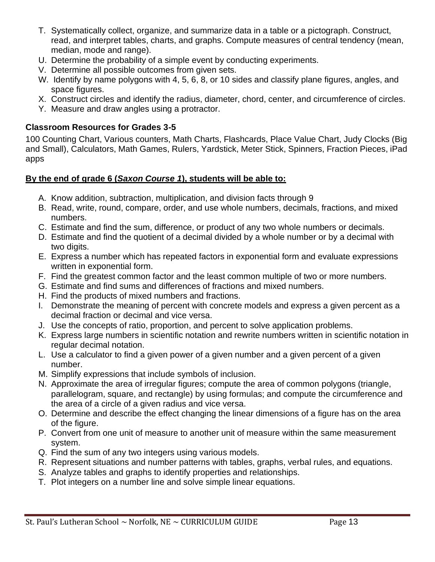- T. Systematically collect, organize, and summarize data in a table or a pictograph. Construct, read, and interpret tables, charts, and graphs. Compute measures of central tendency (mean, median, mode and range).
- U. Determine the probability of a simple event by conducting experiments.
- V. Determine all possible outcomes from given sets.
- W. Identify by name polygons with 4, 5, 6, 8, or 10 sides and classify plane figures, angles, and space figures.
- X. Construct circles and identify the radius, diameter, chord, center, and circumference of circles.
- Y. Measure and draw angles using a protractor.

#### **Classroom Resources for Grades 3-5**

100 Counting Chart, Various counters, Math Charts, Flashcards, Place Value Chart, Judy Clocks (Big and Small), Calculators, Math Games, Rulers, Yardstick, Meter Stick, Spinners, Fraction Pieces, iPad apps

# **By the end of grade 6 (***Saxon Course 1***), students will be able to:**

- A. Know addition, subtraction, multiplication, and division facts through 9
- B. Read, write, round, compare, order, and use whole numbers, decimals, fractions, and mixed numbers.
- C. Estimate and find the sum, difference, or product of any two whole numbers or decimals.
- D. Estimate and find the quotient of a decimal divided by a whole number or by a decimal with two digits.
- E. Express a number which has repeated factors in exponential form and evaluate expressions written in exponential form.
- F. Find the greatest common factor and the least common multiple of two or more numbers.
- G. Estimate and find sums and differences of fractions and mixed numbers.
- H. Find the products of mixed numbers and fractions.
- I. Demonstrate the meaning of percent with concrete models and express a given percent as a decimal fraction or decimal and vice versa.
- J. Use the concepts of ratio, proportion, and percent to solve application problems.
- K. Express large numbers in scientific notation and rewrite numbers written in scientific notation in regular decimal notation.
- L. Use a calculator to find a given power of a given number and a given percent of a given number.
- M. Simplify expressions that include symbols of inclusion.
- N. Approximate the area of irregular figures; compute the area of common polygons (triangle, parallelogram, square, and rectangle) by using formulas; and compute the circumference and the area of a circle of a given radius and vice versa.
- O. Determine and describe the effect changing the linear dimensions of a figure has on the area of the figure.
- P. Convert from one unit of measure to another unit of measure within the same measurement system.
- Q. Find the sum of any two integers using various models.
- R. Represent situations and number patterns with tables, graphs, verbal rules, and equations.
- S. Analyze tables and graphs to identify properties and relationships.
- T. Plot integers on a number line and solve simple linear equations.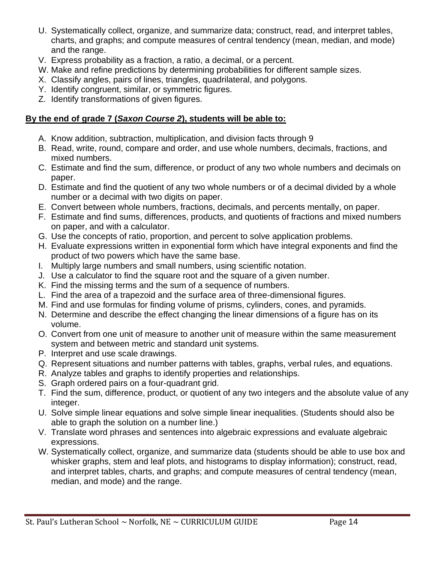- U. Systematically collect, organize, and summarize data; construct, read, and interpret tables, charts, and graphs; and compute measures of central tendency (mean, median, and mode) and the range.
- V. Express probability as a fraction, a ratio, a decimal, or a percent.
- W. Make and refine predictions by determining probabilities for different sample sizes.
- X. Classify angles, pairs of lines, triangles, quadrilateral, and polygons.
- Y. Identify congruent, similar, or symmetric figures.
- Z. Identify transformations of given figures.

### **By the end of grade 7 (***Saxon Course 2***), students will be able to:**

- A. Know addition, subtraction, multiplication, and division facts through 9
- B. Read, write, round, compare and order, and use whole numbers, decimals, fractions, and mixed numbers.
- C. Estimate and find the sum, difference, or product of any two whole numbers and decimals on paper.
- D. Estimate and find the quotient of any two whole numbers or of a decimal divided by a whole number or a decimal with two digits on paper.
- E. Convert between whole numbers, fractions, decimals, and percents mentally, on paper.
- F. Estimate and find sums, differences, products, and quotients of fractions and mixed numbers on paper, and with a calculator.
- G. Use the concepts of ratio, proportion, and percent to solve application problems.
- H. Evaluate expressions written in exponential form which have integral exponents and find the product of two powers which have the same base.
- I. Multiply large numbers and small numbers, using scientific notation.
- J. Use a calculator to find the square root and the square of a given number.
- K. Find the missing terms and the sum of a sequence of numbers.
- L. Find the area of a trapezoid and the surface area of three-dimensional figures.
- M. Find and use formulas for finding volume of prisms, cylinders, cones, and pyramids.
- N. Determine and describe the effect changing the linear dimensions of a figure has on its volume.
- O. Convert from one unit of measure to another unit of measure within the same measurement system and between metric and standard unit systems.
- P. Interpret and use scale drawings.
- Q. Represent situations and number patterns with tables, graphs, verbal rules, and equations.
- R. Analyze tables and graphs to identify properties and relationships.
- S. Graph ordered pairs on a four-quadrant grid.
- T. Find the sum, difference, product, or quotient of any two integers and the absolute value of any integer.
- U. Solve simple linear equations and solve simple linear inequalities. (Students should also be able to graph the solution on a number line.)
- V. Translate word phrases and sentences into algebraic expressions and evaluate algebraic expressions.
- W. Systematically collect, organize, and summarize data (students should be able to use box and whisker graphs, stem and leaf plots, and histograms to display information); construct, read, and interpret tables, charts, and graphs; and compute measures of central tendency (mean, median, and mode) and the range.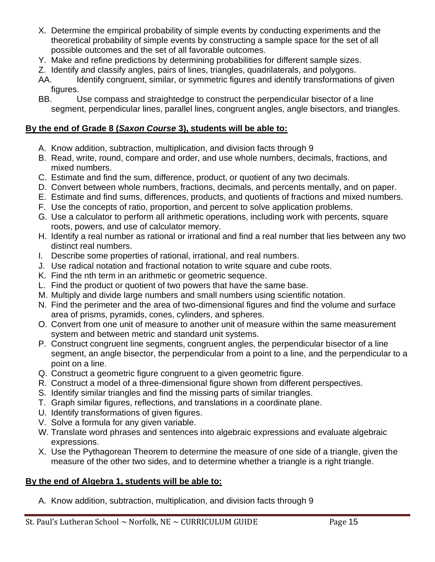- X. Determine the empirical probability of simple events by conducting experiments and the theoretical probability of simple events by constructing a sample space for the set of all possible outcomes and the set of all favorable outcomes.
- Y. Make and refine predictions by determining probabilities for different sample sizes.
- Z. Identify and classify angles, pairs of lines, triangles, quadrilaterals, and polygons.
- AA. Identify congruent, similar, or symmetric figures and identify transformations of given figures.
- BB. Use compass and straightedge to construct the perpendicular bisector of a line segment, perpendicular lines, parallel lines, congruent angles, angle bisectors, and triangles.

#### **By the end of Grade 8 (***Saxon Course* **3), students will be able to:**

- A. Know addition, subtraction, multiplication, and division facts through 9
- B. Read, write, round, compare and order, and use whole numbers, decimals, fractions, and mixed numbers.
- C. Estimate and find the sum, difference, product, or quotient of any two decimals.
- D. Convert between whole numbers, fractions, decimals, and percents mentally, and on paper.
- E. Estimate and find sums, differences, products, and quotients of fractions and mixed numbers.
- F. Use the concepts of ratio, proportion, and percent to solve application problems.
- G. Use a calculator to perform all arithmetic operations, including work with percents, square roots, powers, and use of calculator memory.
- H. Identify a real number as rational or irrational and find a real number that lies between any two distinct real numbers.
- I. Describe some properties of rational, irrational, and real numbers.
- J. Use radical notation and fractional notation to write square and cube roots.
- K. Find the nth term in an arithmetic or geometric sequence.
- L. Find the product or quotient of two powers that have the same base.
- M. Multiply and divide large numbers and small numbers using scientific notation.
- N. Find the perimeter and the area of two-dimensional figures and find the volume and surface area of prisms, pyramids, cones, cylinders, and spheres.
- O. Convert from one unit of measure to another unit of measure within the same measurement system and between metric and standard unit systems.
- P. Construct congruent line segments, congruent angles, the perpendicular bisector of a line segment, an angle bisector, the perpendicular from a point to a line, and the perpendicular to a point on a line.
- Q. Construct a geometric figure congruent to a given geometric figure.
- R. Construct a model of a three-dimensional figure shown from different perspectives.
- S. Identify similar triangles and find the missing parts of similar triangles.
- T. Graph similar figures, reflections, and translations in a coordinate plane.
- U. Identify transformations of given figures.
- V. Solve a formula for any given variable.
- W. Translate word phrases and sentences into algebraic expressions and evaluate algebraic expressions.
- X. Use the Pythagorean Theorem to determine the measure of one side of a triangle, given the measure of the other two sides, and to determine whether a triangle is a right triangle.

# **By the end of Algebra 1, students will be able to:**

A. Know addition, subtraction, multiplication, and division facts through 9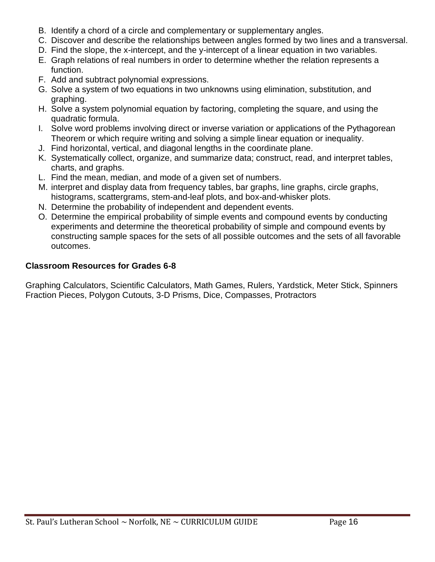- B. Identify a chord of a circle and complementary or supplementary angles.
- C. Discover and describe the relationships between angles formed by two lines and a transversal.
- D. Find the slope, the x-intercept, and the y-intercept of a linear equation in two variables.
- E. Graph relations of real numbers in order to determine whether the relation represents a function.
- F. Add and subtract polynomial expressions.
- G. Solve a system of two equations in two unknowns using elimination, substitution, and graphing.
- H. Solve a system polynomial equation by factoring, completing the square, and using the quadratic formula.
- I. Solve word problems involving direct or inverse variation or applications of the Pythagorean Theorem or which require writing and solving a simple linear equation or inequality.
- J. Find horizontal, vertical, and diagonal lengths in the coordinate plane.
- K. Systematically collect, organize, and summarize data; construct, read, and interpret tables, charts, and graphs.
- L. Find the mean, median, and mode of a given set of numbers.
- M. interpret and display data from frequency tables, bar graphs, line graphs, circle graphs, histograms, scattergrams, stem-and-leaf plots, and box-and-whisker plots.
- N. Determine the probability of independent and dependent events.
- O. Determine the empirical probability of simple events and compound events by conducting experiments and determine the theoretical probability of simple and compound events by constructing sample spaces for the sets of all possible outcomes and the sets of all favorable outcomes.

#### **Classroom Resources for Grades 6-8**

Graphing Calculators, Scientific Calculators, Math Games, Rulers, Yardstick, Meter Stick, Spinners Fraction Pieces, Polygon Cutouts, 3-D Prisms, Dice, Compasses, Protractors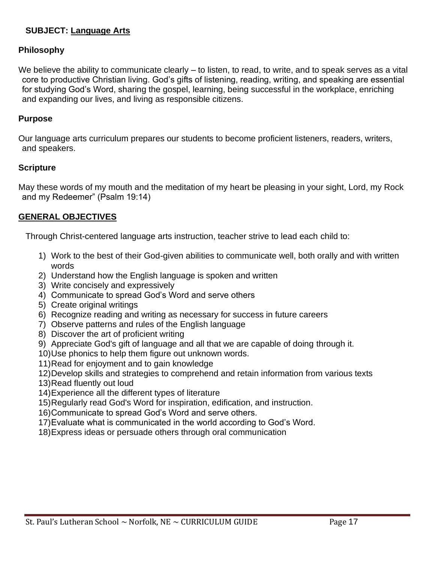# **SUBJECT: Language Arts**

#### **Philosophy**

We believe the ability to communicate clearly – to listen, to read, to write, and to speak serves as a vital core to productive Christian living. God's gifts of listening, reading, writing, and speaking are essential for studying God's Word, sharing the gospel, learning, being successful in the workplace, enriching and expanding our lives, and living as responsible citizens.

#### **Purpose**

Our language arts curriculum prepares our students to become proficient listeners, readers, writers, and speakers.

#### **Scripture**

May these words of my mouth and the meditation of my heart be pleasing in your sight, Lord, my Rock and my Redeemer" (Psalm 19:14)

#### **GENERAL OBJECTIVES**

Through Christ-centered language arts instruction, teacher strive to lead each child to:

- 1) Work to the best of their God-given abilities to communicate well, both orally and with written words
- 2) Understand how the English language is spoken and written
- 3) Write concisely and expressively
- 4) Communicate to spread God's Word and serve others
- 5) Create original writings
- 6) Recognize reading and writing as necessary for success in future careers
- 7) Observe patterns and rules of the English language
- 8) Discover the art of proficient writing
- 9) Appreciate God's gift of language and all that we are capable of doing through it.
- 10)Use phonics to help them figure out unknown words.
- 11)Read for enjoyment and to gain knowledge
- 12)Develop skills and strategies to comprehend and retain information from various texts
- 13)Read fluently out loud
- 14)Experience all the different types of literature
- 15)Regularly read God's Word for inspiration, edification, and instruction.
- 16)Communicate to spread God's Word and serve others.
- 17)Evaluate what is communicated in the world according to God's Word.
- 18)Express ideas or persuade others through oral communication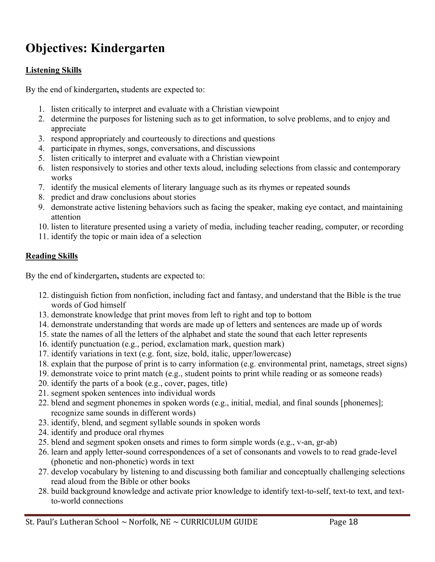# **Objectives: Kindergarten**

### **Listening Skills**

By the end of kindergarten**,** students are expected to:

- 1. listen critically to interpret and evaluate with a Christian viewpoint
- 2. determine the purposes for listening such as to get information, to solve problems, and to enjoy and appreciate
- 3. respond appropriately and courteously to directions and questions
- 4. participate in rhymes, songs, conversations, and discussions
- 5. listen critically to interpret and evaluate with a Christian viewpoint
- 6. listen responsively to stories and other texts aloud, including selections from classic and contemporary works
- 7. identify the musical elements of literary language such as its rhymes or repeated sounds
- 8. predict and draw conclusions about stories
- 9. demonstrate active listening behaviors such as facing the speaker, making eye contact, and maintaining attention
- 10. listen to literature presented using a variety of media, including teacher reading, computer, or recording
- 11. identify the topic or main idea of a selection

#### **Reading Skills**

By the end of kindergarten**,** students are expected to:

- 12. distinguish fiction from nonfiction, including fact and fantasy, and understand that the Bible is the true words of God himself
- 13. demonstrate knowledge that print moves from left to right and top to bottom
- 14. demonstrate understanding that words are made up of letters and sentences are made up of words
- 15. state the names of all the letters of the alphabet and state the sound that each letter represents
- 16. identify punctuation (e.g., period, exclamation mark, question mark)
- 17. identify variations in text (e.g. font, size, bold, italic, upper/lowercase)
- 18. explain that the purpose of print is to carry information (e.g. environmental print, nametags, street signs)
- 19. demonstrate voice to print match (e.g., student points to print while reading or as someone reads)
- 20. identify the parts of a book (e.g., cover, pages, title)
- 21. segment spoken sentences into individual words
- 22. blend and segment phonemes in spoken words (e.g., initial, medial, and final sounds [phonemes]; recognize same sounds in different words)
- 23. identify, blend, and segment syllable sounds in spoken words
- 24. identify and produce oral rhymes
- 25. blend and segment spoken onsets and rimes to form simple words (e.g., v-an, gr-ab)
- 26. learn and apply letter-sound correspondences of a set of consonants and vowels to to read grade-level (phonetic and non-phonetic) words in text
- 27. develop vocabulary by listening to and discussing both familiar and conceptually challenging selections read aloud from the Bible or other books
- 28. build background knowledge and activate prior knowledge to identify text-to-self, text-to text, and textto-world connections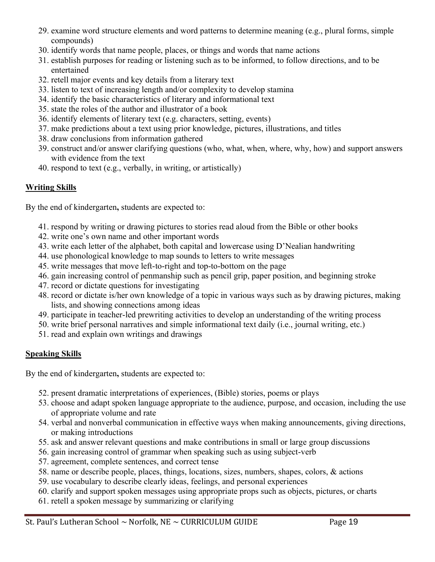- 29. examine word structure elements and word patterns to determine meaning (e.g., plural forms, simple compounds)
- 30. identify words that name people, places, or things and words that name actions
- 31. establish purposes for reading or listening such as to be informed, to follow directions, and to be entertained
- 32. retell major events and key details from a literary text
- 33. listen to text of increasing length and/or complexity to develop stamina
- 34. identify the basic characteristics of literary and informational text
- 35. state the roles of the author and illustrator of a book
- 36. identify elements of literary text (e.g. characters, setting, events)
- 37. make predictions about a text using prior knowledge, pictures, illustrations, and titles
- 38. draw conclusions from information gathered
- 39. construct and/or answer clarifying questions (who, what, when, where, why, how) and support answers with evidence from the text
- 40. respond to text (e.g., verbally, in writing, or artistically)

#### **Writing Skills**

By the end of kindergarten**,** students are expected to:

- 41. respond by writing or drawing pictures to stories read aloud from the Bible or other books
- 42. write one's own name and other important words
- 43. write each letter of the alphabet, both capital and lowercase using D'Nealian handwriting
- 44. use phonological knowledge to map sounds to letters to write messages
- 45. write messages that move left-to-right and top-to-bottom on the page
- 46. gain increasing control of penmanship such as pencil grip, paper position, and beginning stroke
- 47. record or dictate questions for investigating
- 48. record or dictate is/her own knowledge of a topic in various ways such as by drawing pictures, making lists, and showing connections among ideas
- 49. participate in teacher-led prewriting activities to develop an understanding of the writing process
- 50. write brief personal narratives and simple informational text daily (i.e., journal writing, etc.)
- 51. read and explain own writings and drawings

#### **Speaking Skills**

By the end of kindergarten**,** students are expected to:

- 52. present dramatic interpretations of experiences, (Bible) stories, poems or plays
- 53. choose and adapt spoken language appropriate to the audience, purpose, and occasion, including the use of appropriate volume and rate
- 54. verbal and nonverbal communication in effective ways when making announcements, giving directions, or making introductions
- 55. ask and answer relevant questions and make contributions in small or large group discussions
- 56. gain increasing control of grammar when speaking such as using subject-verb
- 57. agreement, complete sentences, and correct tense
- 58. name or describe people, places, things, locations, sizes, numbers, shapes, colors, & actions
- 59. use vocabulary to describe clearly ideas, feelings, and personal experiences
- 60. clarify and support spoken messages using appropriate props such as objects, pictures, or charts
- 61. retell a spoken message by summarizing or clarifying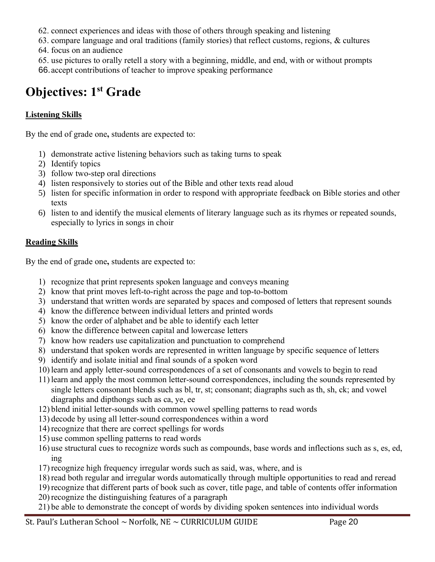- 62. connect experiences and ideas with those of others through speaking and listening
- 63. compare language and oral traditions (family stories) that reflect customs, regions, & cultures 64. focus on an audience
- 65. use pictures to orally retell a story with a beginning, middle, and end, with or without prompts
- 66.accept contributions of teacher to improve speaking performance

# **Objectives: 1st Grade**

# **Listening Skills**

By the end of grade one**,** students are expected to:

- 1) demonstrate active listening behaviors such as taking turns to speak
- 2) Identify topics
- 3) follow two-step oral directions
- 4) listen responsively to stories out of the Bible and other texts read aloud
- 5) listen for specific information in order to respond with appropriate feedback on Bible stories and other texts
- 6) listen to and identify the musical elements of literary language such as its rhymes or repeated sounds, especially to lyrics in songs in choir

# **Reading Skills**

By the end of grade one**,** students are expected to:

- 1) recognize that print represents spoken language and conveys meaning
- 2) know that print moves left-to-right across the page and top-to-bottom
- 3) understand that written words are separated by spaces and composed of letters that represent sounds
- 4) know the difference between individual letters and printed words
- 5) know the order of alphabet and be able to identify each letter
- 6) know the difference between capital and lowercase letters
- 7) know how readers use capitalization and punctuation to comprehend
- 8) understand that spoken words are represented in written language by specific sequence of letters
- 9) identify and isolate initial and final sounds of a spoken word
- 10) learn and apply letter-sound correspondences of a set of consonants and vowels to begin to read
- 11) learn and apply the most common letter-sound correspondences, including the sounds represented by single letters consonant blends such as bl, tr, st; consonant; diagraphs such as th, sh, ck; and vowel diagraphs and dipthongs such as ca, ye, ee
- 12) blend initial letter-sounds with common vowel spelling patterns to read words
- 13) decode by using all letter-sound correspondences within a word
- 14) recognize that there are correct spellings for words
- 15) use common spelling patterns to read words
- 16) use structural cues to recognize words such as compounds, base words and inflections such as s, es, ed, ing
- 17) recognize high frequency irregular words such as said, was, where, and is
- 18) read both regular and irregular words automatically through multiple opportunities to read and reread
- 19) recognize that different parts of book such as cover, title page, and table of contents offer information
- 20) recognize the distinguishing features of a paragraph
- 21) be able to demonstrate the concept of words by dividing spoken sentences into individual words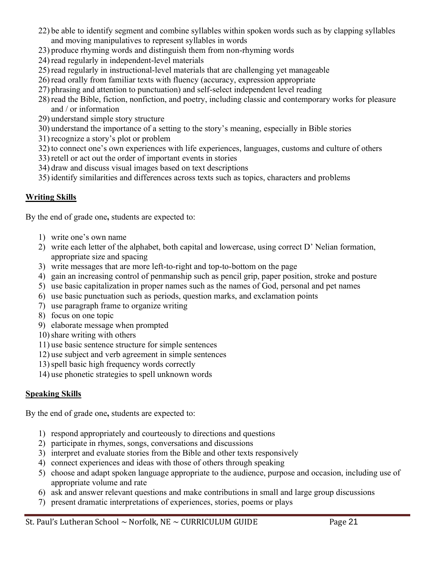- 22) be able to identify segment and combine syllables within spoken words such as by clapping syllables and moving manipulatives to represent syllables in words
- 23) produce rhyming words and distinguish them from non-rhyming words
- 24) read regularly in independent-level materials
- 25) read regularly in instructional-level materials that are challenging yet manageable
- 26) read orally from familiar texts with fluency (accuracy, expression appropriate
- 27) phrasing and attention to punctuation) and self-select independent level reading
- 28) read the Bible, fiction, nonfiction, and poetry, including classic and contemporary works for pleasure and / or information
- 29) understand simple story structure
- 30) understand the importance of a setting to the story's meaning, especially in Bible stories
- 31) recognize a story's plot or problem
- 32) to connect one's own experiences with life experiences, languages, customs and culture of others
- 33) retell or act out the order of important events in stories
- 34) draw and discuss visual images based on text descriptions
- 35) identify similarities and differences across texts such as topics, characters and problems

#### **Writing Skills**

By the end of grade one**,** students are expected to:

- 1) write one's own name
- 2) write each letter of the alphabet, both capital and lowercase, using correct D' Nelian formation, appropriate size and spacing
- 3) write messages that are more left-to-right and top-to-bottom on the page
- 4) gain an increasing control of penmanship such as pencil grip, paper position, stroke and posture
- 5) use basic capitalization in proper names such as the names of God, personal and pet names
- 6) use basic punctuation such as periods, question marks, and exclamation points
- 7) use paragraph frame to organize writing
- 8) focus on one topic
- 9) elaborate message when prompted
- 10) share writing with others
- 11) use basic sentence structure for simple sentences
- 12) use subject and verb agreement in simple sentences
- 13)spell basic high frequency words correctly
- 14) use phonetic strategies to spell unknown words

#### **Speaking Skills**

By the end of grade one**,** students are expected to:

- 1) respond appropriately and courteously to directions and questions
- 2) participate in rhymes, songs, conversations and discussions
- 3) interpret and evaluate stories from the Bible and other texts responsively
- 4) connect experiences and ideas with those of others through speaking
- 5) choose and adapt spoken language appropriate to the audience, purpose and occasion, including use of appropriate volume and rate
- 6) ask and answer relevant questions and make contributions in small and large group discussions
- 7) present dramatic interpretations of experiences, stories, poems or plays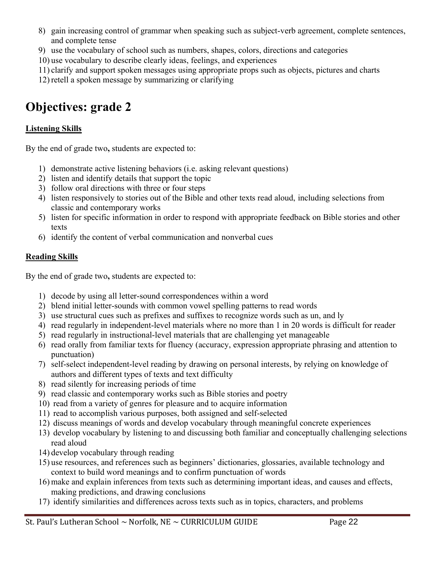- 8) gain increasing control of grammar when speaking such as subject-verb agreement, complete sentences, and complete tense
- 9) use the vocabulary of school such as numbers, shapes, colors, directions and categories
- 10) use vocabulary to describe clearly ideas, feelings, and experiences
- 11) clarify and support spoken messages using appropriate props such as objects, pictures and charts
- 12) retell a spoken message by summarizing or clarifying

# **Objectives: grade 2**

# **Listening Skills**

By the end of grade two**,** students are expected to:

- 1) demonstrate active listening behaviors (i.e. asking relevant questions)
- 2) listen and identify details that support the topic
- 3) follow oral directions with three or four steps
- 4) listen responsively to stories out of the Bible and other texts read aloud, including selections from classic and contemporary works
- 5) listen for specific information in order to respond with appropriate feedback on Bible stories and other texts
- 6) identify the content of verbal communication and nonverbal cues

# **Reading Skills**

By the end of grade two**,** students are expected to:

- 1) decode by using all letter-sound correspondences within a word
- 2) blend initial letter-sounds with common vowel spelling patterns to read words
- 3) use structural cues such as prefixes and suffixes to recognize words such as un, and ly
- 4) read regularly in independent-level materials where no more than 1 in 20 words is difficult for reader
- 5) read regularly in instructional-level materials that are challenging yet manageable
- 6) read orally from familiar texts for fluency (accuracy, expression appropriate phrasing and attention to punctuation)
- 7) self-select independent-level reading by drawing on personal interests, by relying on knowledge of authors and different types of texts and text difficulty
- 8) read silently for increasing periods of time
- 9) read classic and contemporary works such as Bible stories and poetry
- 10) read from a variety of genres for pleasure and to acquire information
- 11) read to accomplish various purposes, both assigned and self-selected
- 12) discuss meanings of words and develop vocabulary through meaningful concrete experiences
- 13) develop vocabulary by listening to and discussing both familiar and conceptually challenging selections read aloud
- 14) develop vocabulary through reading
- 15) use resources, and references such as beginners' dictionaries, glossaries, available technology and context to build word meanings and to confirm punctuation of words
- 16) make and explain inferences from texts such as determining important ideas, and causes and effects, making predictions, and drawing conclusions
- 17) identify similarities and differences across texts such as in topics, characters, and problems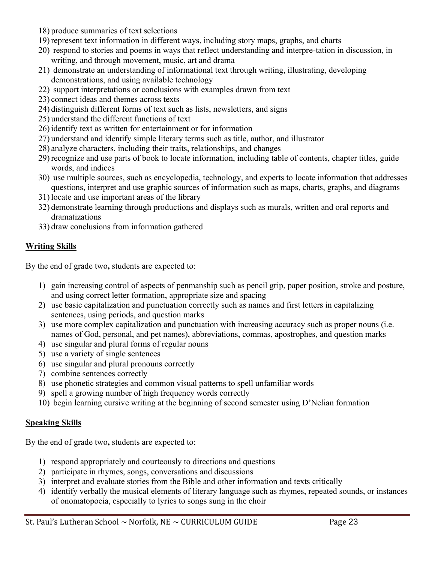- 18) produce summaries of text selections
- 19) represent text information in different ways, including story maps, graphs, and charts
- 20) respond to stories and poems in ways that reflect understanding and interpre-tation in discussion, in writing, and through movement, music, art and drama
- 21) demonstrate an understanding of informational text through writing, illustrating, developing demonstrations, and using available technology
- 22) support interpretations or conclusions with examples drawn from text
- 23) connect ideas and themes across texts
- 24) distinguish different forms of text such as lists, newsletters, and signs
- 25) understand the different functions of text
- 26) identify text as written for entertainment or for information
- 27) understand and identify simple literary terms such as title, author, and illustrator
- 28) analyze characters, including their traits, relationships, and changes
- 29) recognize and use parts of book to locate information, including table of contents, chapter titles, guide words, and indices
- 30) use multiple sources, such as encyclopedia, technology, and experts to locate information that addresses questions, interpret and use graphic sources of information such as maps, charts, graphs, and diagrams
- 31) locate and use important areas of the library
- 32) demonstrate learning through productions and displays such as murals, written and oral reports and dramatizations
- 33) draw conclusions from information gathered

#### **Writing Skills**

By the end of grade two**,** students are expected to:

- 1) gain increasing control of aspects of penmanship such as pencil grip, paper position, stroke and posture, and using correct letter formation, appropriate size and spacing
- 2) use basic capitalization and punctuation correctly such as names and first letters in capitalizing sentences, using periods, and question marks
- 3) use more complex capitalization and punctuation with increasing accuracy such as proper nouns (i.e. names of God, personal, and pet names), abbreviations, commas, apostrophes, and question marks
- 4) use singular and plural forms of regular nouns
- 5) use a variety of single sentences
- 6) use singular and plural pronouns correctly
- 7) combine sentences correctly
- 8) use phonetic strategies and common visual patterns to spell unfamiliar words
- 9) spell a growing number of high frequency words correctly
- 10) begin learning cursive writing at the beginning of second semester using D'Nelian formation

#### **Speaking Skills**

By the end of grade two**,** students are expected to:

- 1) respond appropriately and courteously to directions and questions
- 2) participate in rhymes, songs, conversations and discussions
- 3) interpret and evaluate stories from the Bible and other information and texts critically
- 4) identify verbally the musical elements of literary language such as rhymes, repeated sounds, or instances of onomatopoeia, especially to lyrics to songs sung in the choir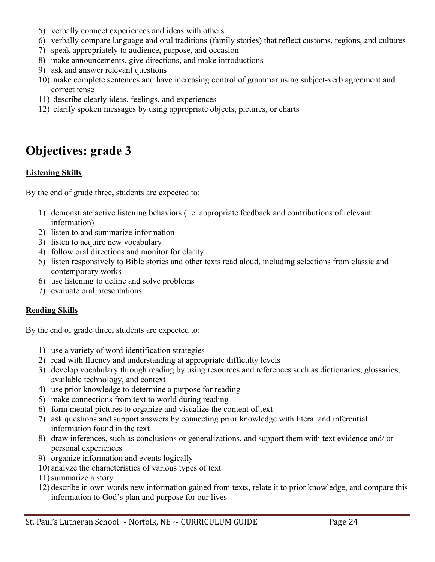- 5) verbally connect experiences and ideas with others
- 6) verbally compare language and oral traditions (family stories) that reflect customs, regions, and cultures
- 7) speak appropriately to audience, purpose, and occasion
- 8) make announcements, give directions, and make introductions
- 9) ask and answer relevant questions
- 10) make complete sentences and have increasing control of grammar using subject-verb agreement and correct tense
- 11) describe clearly ideas, feelings, and experiences
- 12) clarify spoken messages by using appropriate objects, pictures, or charts

# **Objectives: grade 3**

#### **Listening Skills**

By the end of grade three**,** students are expected to:

- 1) demonstrate active listening behaviors (i.e. appropriate feedback and contributions of relevant information)
- 2) listen to and summarize information
- 3) listen to acquire new vocabulary
- 4) follow oral directions and monitor for clarity
- 5) listen responsively to Bible stories and other texts read aloud, including selections from classic and contemporary works
- 6) use listening to define and solve problems
- 7) evaluate oral presentations

#### **Reading Skills**

By the end of grade three**,** students are expected to:

- 1) use a variety of word identification strategies
- 2) read with fluency and understanding at appropriate difficulty levels
- 3) develop vocabulary through reading by using resources and references such as dictionaries, glossaries, available technology, and context
- 4) use prior knowledge to determine a purpose for reading
- 5) make connections from text to world during reading
- 6) form mental pictures to organize and visualize the content of text
- 7) ask questions and support answers by connecting prior knowledge with literal and inferential information found in the text
- 8) draw inferences, such as conclusions or generalizations, and support them with text evidence and/ or personal experiences
- 9) organize information and events logically
- 10) analyze the characteristics of various types of text
- 11)summarize a story
- 12) describe in own words new information gained from texts, relate it to prior knowledge, and compare this information to God's plan and purpose for our lives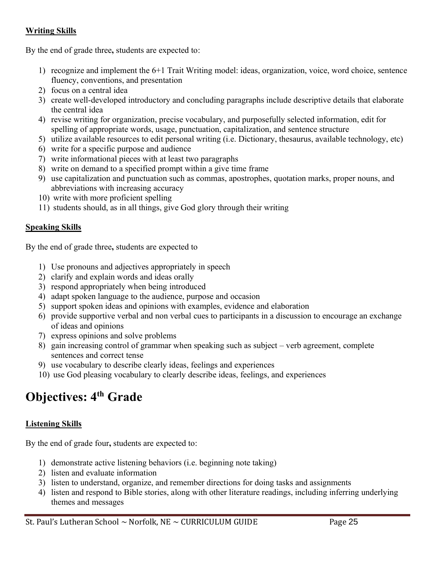#### **Writing Skills**

By the end of grade three**,** students are expected to:

- 1) recognize and implement the 6+1 Trait Writing model: ideas, organization, voice, word choice, sentence fluency, conventions, and presentation
- 2) focus on a central idea
- 3) create well-developed introductory and concluding paragraphs include descriptive details that elaborate the central idea
- 4) revise writing for organization, precise vocabulary, and purposefully selected information, edit for spelling of appropriate words, usage, punctuation, capitalization, and sentence structure
- 5) utilize available resources to edit personal writing (i.e. Dictionary, thesaurus, available technology, etc)
- 6) write for a specific purpose and audience
- 7) write informational pieces with at least two paragraphs
- 8) write on demand to a specified prompt within a give time frame
- 9) use capitalization and punctuation such as commas, apostrophes, quotation marks, proper nouns, and abbreviations with increasing accuracy
- 10) write with more proficient spelling
- 11) students should, as in all things, give God glory through their writing

#### **Speaking Skills**

By the end of grade three**,** students are expected to

- 1) Use pronouns and adjectives appropriately in speech
- 2) clarify and explain words and ideas orally
- 3) respond appropriately when being introduced
- 4) adapt spoken language to the audience, purpose and occasion
- 5) support spoken ideas and opinions with examples, evidence and elaboration
- 6) provide supportive verbal and non verbal cues to participants in a discussion to encourage an exchange of ideas and opinions
- 7) express opinions and solve problems
- 8) gain increasing control of grammar when speaking such as subject verb agreement, complete sentences and correct tense
- 9) use vocabulary to describe clearly ideas, feelings and experiences
- 10) use God pleasing vocabulary to clearly describe ideas, feelings, and experiences

# **Objectives: 4th Grade**

#### **Listening Skills**

By the end of grade four**,** students are expected to:

- 1) demonstrate active listening behaviors (i.e. beginning note taking)
- 2) listen and evaluate information
- 3) listen to understand, organize, and remember directions for doing tasks and assignments
- 4) listen and respond to Bible stories, along with other literature readings, including inferring underlying themes and messages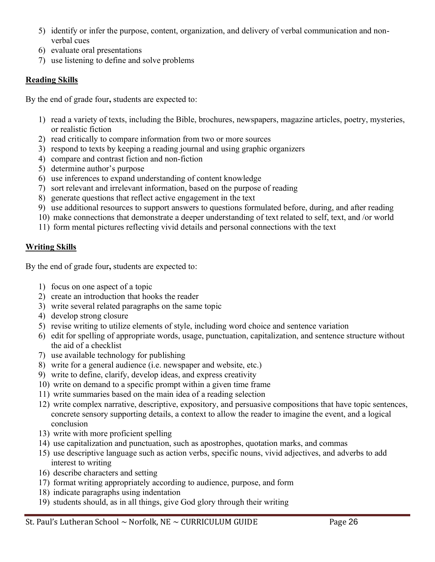- 5) identify or infer the purpose, content, organization, and delivery of verbal communication and nonverbal cues
- 6) evaluate oral presentations
- 7) use listening to define and solve problems

# **Reading Skills**

By the end of grade four**,** students are expected to:

- 1) read a variety of texts, including the Bible, brochures, newspapers, magazine articles, poetry, mysteries, or realistic fiction
- 2) read critically to compare information from two or more sources
- 3) respond to texts by keeping a reading journal and using graphic organizers
- 4) compare and contrast fiction and non-fiction
- 5) determine author's purpose
- 6) use inferences to expand understanding of content knowledge
- 7) sort relevant and irrelevant information, based on the purpose of reading
- 8) generate questions that reflect active engagement in the text
- 9) use additional resources to support answers to questions formulated before, during, and after reading
- 10) make connections that demonstrate a deeper understanding of text related to self, text, and /or world
- 11) form mental pictures reflecting vivid details and personal connections with the text

# **Writing Skills**

By the end of grade four**,** students are expected to:

- 1) focus on one aspect of a topic
- 2) create an introduction that hooks the reader
- 3) write several related paragraphs on the same topic
- 4) develop strong closure
- 5) revise writing to utilize elements of style, including word choice and sentence variation
- 6) edit for spelling of appropriate words, usage, punctuation, capitalization, and sentence structure without the aid of a checklist
- 7) use available technology for publishing
- 8) write for a general audience (i.e. newspaper and website, etc.)
- 9) write to define, clarify, develop ideas, and express creativity
- 10) write on demand to a specific prompt within a given time frame
- 11) write summaries based on the main idea of a reading selection
- 12) write complex narrative, descriptive, expository, and persuasive compositions that have topic sentences, concrete sensory supporting details, a context to allow the reader to imagine the event, and a logical conclusion
- 13) write with more proficient spelling
- 14) use capitalization and punctuation, such as apostrophes, quotation marks, and commas
- 15) use descriptive language such as action verbs, specific nouns, vivid adjectives, and adverbs to add interest to writing
- 16) describe characters and setting
- 17) format writing appropriately according to audience, purpose, and form
- 18) indicate paragraphs using indentation
- 19) students should, as in all things, give God glory through their writing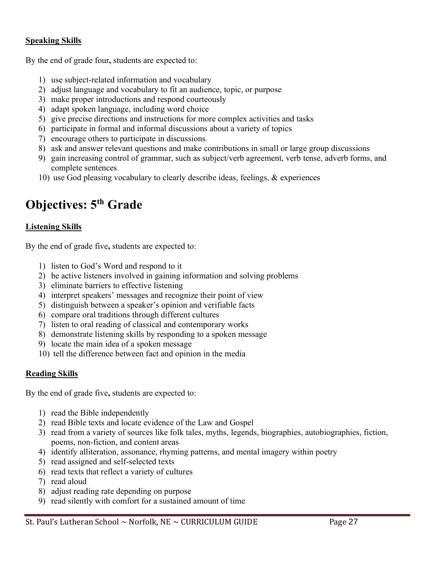#### **Speaking Skills**

By the end of grade four**,** students are expected to:

- 1) use subject-related information and vocabulary
- 2) adjust language and vocabulary to fit an audience, topic, or purpose
- 3) make proper introductions and respond courteously
- 4) adapt spoken language, including word choice
- 5) give precise directions and instructions for more complex activities and tasks
- 6) participate in formal and informal discussions about a variety of topics
- 7) encourage others to participate in discussions
- 8) ask and answer relevant questions and make contributions in small or large group discussions
- 9) gain increasing control of grammar, such as subject/verb agreement, verb tense, adverb forms, and complete sentences
- 10) use God pleasing vocabulary to clearly describe ideas, feelings, & experiences

# **Objectives: 5th Grade**

#### **Listening Skills**

By the end of grade five**,** students are expected to:

- 1) listen to God's Word and respond to it
- 2) be active listeners involved in gaining information and solving problems
- 3) eliminate barriers to effective listening
- 4) interpret speakers' messages and recognize their point of view
- 5) distinguish between a speaker's opinion and verifiable facts
- 6) compare oral traditions through different cultures
- 7) listen to oral reading of classical and contemporary works
- 8) demonstrate listening skills by responding to a spoken message
- 9) locate the main idea of a spoken message
- 10) tell the difference between fact and opinion in the media

#### **Reading Skills**

By the end of grade five**,** students are expected to:

- 1) read the Bible independently
- 2) read Bible texts and locate evidence of the Law and Gospel
- 3) read from a variety of sources like folk tales, myths, legends, biographies, autobiographies, fiction, poems, non-fiction, and content areas
- 4) identify alliteration, assonance, rhyming patterns, and mental imagery within poetry
- 5) read assigned and self-selected texts
- 6) read texts that reflect a variety of cultures
- 7) read aloud
- 8) adjust reading rate depending on purpose
- 9) read silently with comfort for a sustained amount of time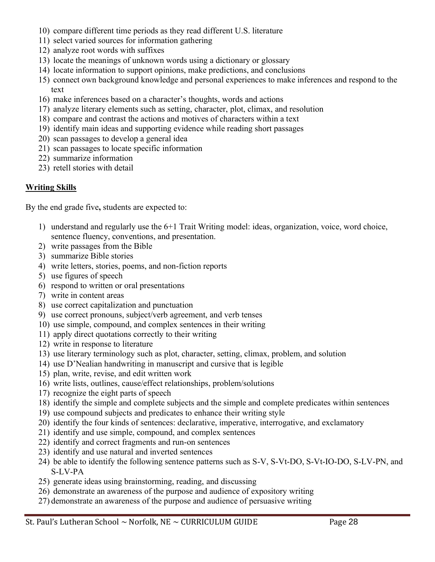- 10) compare different time periods as they read different U.S. literature
- 11) select varied sources for information gathering
- 12) analyze root words with suffixes
- 13) locate the meanings of unknown words using a dictionary or glossary
- 14) locate information to support opinions, make predictions, and conclusions
- 15) connect own background knowledge and personal experiences to make inferences and respond to the text
- 16) make inferences based on a character's thoughts, words and actions
- 17) analyze literary elements such as setting, character, plot, climax, and resolution
- 18) compare and contrast the actions and motives of characters within a text
- 19) identify main ideas and supporting evidence while reading short passages
- 20) scan passages to develop a general idea
- 21) scan passages to locate specific information
- 22) summarize information
- 23) retell stories with detail

#### **Writing Skills**

By the end grade five**,** students are expected to:

- 1) understand and regularly use the 6+1 Trait Writing model: ideas, organization, voice, word choice, sentence fluency, conventions, and presentation.
- 2) write passages from the Bible
- 3) summarize Bible stories
- 4) write letters, stories, poems, and non-fiction reports
- 5) use figures of speech
- 6) respond to written or oral presentations
- 7) write in content areas
- 8) use correct capitalization and punctuation
- 9) use correct pronouns, subject/verb agreement, and verb tenses
- 10) use simple, compound, and complex sentences in their writing
- 11) apply direct quotations correctly to their writing
- 12) write in response to literature
- 13) use literary terminology such as plot, character, setting, climax, problem, and solution
- 14) use D'Nealian handwriting in manuscript and cursive that is legible
- 15) plan, write, revise, and edit written work
- 16) write lists, outlines, cause/effect relationships, problem/solutions
- 17) recognize the eight parts of speech
- 18) identify the simple and complete subjects and the simple and complete predicates within sentences
- 19) use compound subjects and predicates to enhance their writing style
- 20) identify the four kinds of sentences: declarative, imperative, interrogative, and exclamatory
- 21) identify and use simple, compound, and complex sentences
- 22) identify and correct fragments and run-on sentences
- 23) identify and use natural and inverted sentences
- 24) be able to identify the following sentence patterns such as S-V, S-Vt-DO, S-Vt-IO-DO, S-LV-PN, and S-LV-PA
- 25) generate ideas using brainstorming, reading, and discussing
- 26) demonstrate an awareness of the purpose and audience of expository writing
- 27) demonstrate an awareness of the purpose and audience of persuasive writing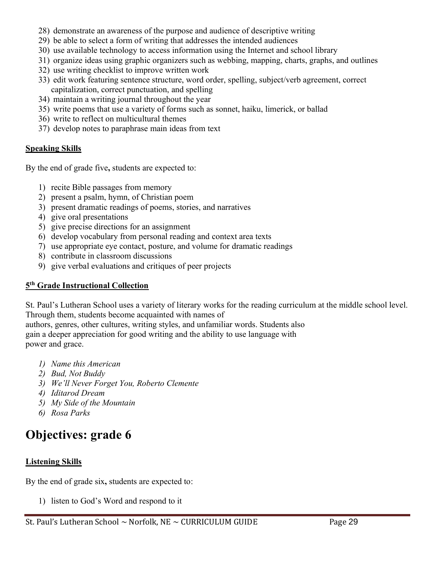- 28) demonstrate an awareness of the purpose and audience of descriptive writing
- 29) be able to select a form of writing that addresses the intended audiences
- 30) use available technology to access information using the Internet and school library
- 31) organize ideas using graphic organizers such as webbing, mapping, charts, graphs, and outlines
- 32) use writing checklist to improve written work
- 33) edit work featuring sentence structure, word order, spelling, subject/verb agreement, correct capitalization, correct punctuation, and spelling
- 34) maintain a writing journal throughout the year
- 35) write poems that use a variety of forms such as sonnet, haiku, limerick, or ballad
- 36) write to reflect on multicultural themes
- 37) develop notes to paraphrase main ideas from text

#### **Speaking Skills**

By the end of grade five**,** students are expected to:

- 1) recite Bible passages from memory
- 2) present a psalm, hymn, of Christian poem
- 3) present dramatic readings of poems, stories, and narratives
- 4) give oral presentations
- 5) give precise directions for an assignment
- 6) develop vocabulary from personal reading and context area texts
- 7) use appropriate eye contact, posture, and volume for dramatic readings
- 8) contribute in classroom discussions
- 9) give verbal evaluations and critiques of peer projects

#### **5 th Grade Instructional Collection**

St. Paul's Lutheran School uses a variety of literary works for the reading curriculum at the middle school level. Through them, students become acquainted with names of

authors, genres, other cultures, writing styles, and unfamiliar words. Students also gain a deeper appreciation for good writing and the ability to use language with power and grace.

- *1) Name this American*
- *2) Bud, Not Buddy*
- *3) We'll Never Forget You, Roberto Clemente*
- *4) Iditarod Dream*
- *5) My Side of the Mountain*
- *6) Rosa Parks*

# **Objectives: grade 6**

#### **Listening Skills**

By the end of grade six**,** students are expected to:

1) listen to God's Word and respond to it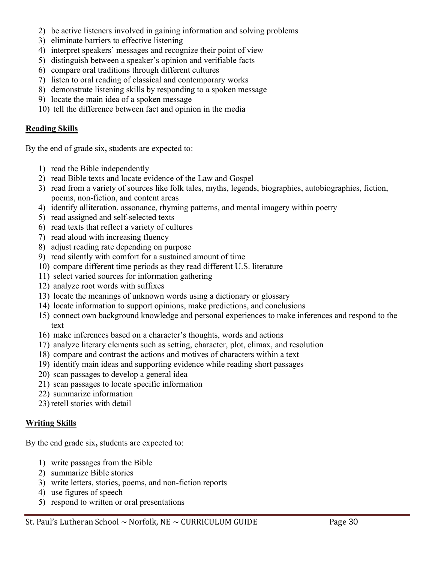- 2) be active listeners involved in gaining information and solving problems
- 3) eliminate barriers to effective listening
- 4) interpret speakers' messages and recognize their point of view
- 5) distinguish between a speaker's opinion and verifiable facts
- 6) compare oral traditions through different cultures
- 7) listen to oral reading of classical and contemporary works
- 8) demonstrate listening skills by responding to a spoken message
- 9) locate the main idea of a spoken message
- 10) tell the difference between fact and opinion in the media

#### **Reading Skills**

By the end of grade six**,** students are expected to:

- 1) read the Bible independently
- 2) read Bible texts and locate evidence of the Law and Gospel
- 3) read from a variety of sources like folk tales, myths, legends, biographies, autobiographies, fiction, poems, non-fiction, and content areas
- 4) identify alliteration, assonance, rhyming patterns, and mental imagery within poetry
- 5) read assigned and self-selected texts
- 6) read texts that reflect a variety of cultures
- 7) read aloud with increasing fluency
- 8) adjust reading rate depending on purpose
- 9) read silently with comfort for a sustained amount of time
- 10) compare different time periods as they read different U.S. literature
- 11) select varied sources for information gathering
- 12) analyze root words with suffixes
- 13) locate the meanings of unknown words using a dictionary or glossary
- 14) locate information to support opinions, make predictions, and conclusions
- 15) connect own background knowledge and personal experiences to make inferences and respond to the text
- 16) make inferences based on a character's thoughts, words and actions
- 17) analyze literary elements such as setting, character, plot, climax, and resolution
- 18) compare and contrast the actions and motives of characters within a text
- 19) identify main ideas and supporting evidence while reading short passages
- 20) scan passages to develop a general idea
- 21) scan passages to locate specific information
- 22) summarize information
- 23) retell stories with detail

#### **Writing Skills**

By the end grade six**,** students are expected to:

- 1) write passages from the Bible
- 2) summarize Bible stories
- 3) write letters, stories, poems, and non-fiction reports
- 4) use figures of speech
- 5) respond to written or oral presentations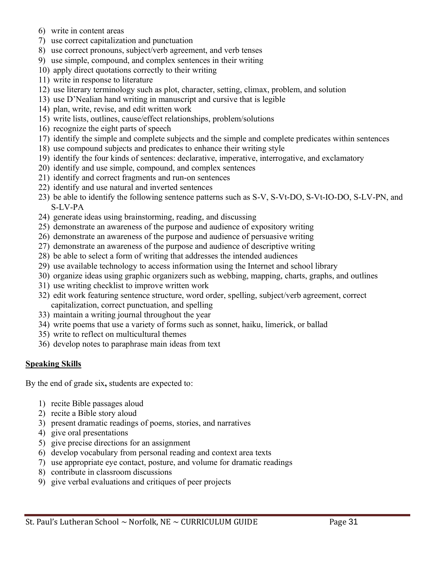- 6) write in content areas
- 7) use correct capitalization and punctuation
- 8) use correct pronouns, subject/verb agreement, and verb tenses
- 9) use simple, compound, and complex sentences in their writing
- 10) apply direct quotations correctly to their writing
- 11) write in response to literature
- 12) use literary terminology such as plot, character, setting, climax, problem, and solution
- 13) use D'Nealian hand writing in manuscript and cursive that is legible
- 14) plan, write, revise, and edit written work
- 15) write lists, outlines, cause/effect relationships, problem/solutions
- 16) recognize the eight parts of speech
- 17) identify the simple and complete subjects and the simple and complete predicates within sentences
- 18) use compound subjects and predicates to enhance their writing style
- 19) identify the four kinds of sentences: declarative, imperative, interrogative, and exclamatory
- 20) identify and use simple, compound, and complex sentences
- 21) identify and correct fragments and run-on sentences
- 22) identify and use natural and inverted sentences
- 23) be able to identify the following sentence patterns such as S-V, S-Vt-DO, S-Vt-IO-DO, S-LV-PN, and S-LV-PA
- 24) generate ideas using brainstorming, reading, and discussing
- 25) demonstrate an awareness of the purpose and audience of expository writing
- 26) demonstrate an awareness of the purpose and audience of persuasive writing
- 27) demonstrate an awareness of the purpose and audience of descriptive writing
- 28) be able to select a form of writing that addresses the intended audiences
- 29) use available technology to access information using the Internet and school library
- 30) organize ideas using graphic organizers such as webbing, mapping, charts, graphs, and outlines
- 31) use writing checklist to improve written work
- 32) edit work featuring sentence structure, word order, spelling, subject/verb agreement, correct capitalization, correct punctuation, and spelling
- 33) maintain a writing journal throughout the year
- 34) write poems that use a variety of forms such as sonnet, haiku, limerick, or ballad
- 35) write to reflect on multicultural themes
- 36) develop notes to paraphrase main ideas from text

#### **Speaking Skills**

By the end of grade six**,** students are expected to:

- 1) recite Bible passages aloud
- 2) recite a Bible story aloud
- 3) present dramatic readings of poems, stories, and narratives
- 4) give oral presentations
- 5) give precise directions for an assignment
- 6) develop vocabulary from personal reading and context area texts
- 7) use appropriate eye contact, posture, and volume for dramatic readings
- 8) contribute in classroom discussions
- 9) give verbal evaluations and critiques of peer projects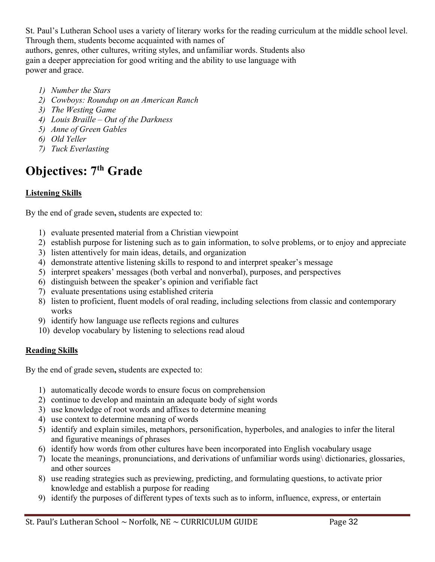St. Paul's Lutheran School uses a variety of literary works for the reading curriculum at the middle school level. Through them, students become acquainted with names of

authors, genres, other cultures, writing styles, and unfamiliar words. Students also gain a deeper appreciation for good writing and the ability to use language with power and grace.

- *1) Number the Stars*
- *2) Cowboys: Roundup on an American Ranch*
- *3) The Westing Game*
- *4) Louis Braille – Out of the Darkness*
- *5) Anne of Green Gables*
- *6) Old Yeller*
- *7) Tuck Everlasting*

# **Objectives: 7th Grade**

# **Listening Skills**

By the end of grade seven**,** students are expected to:

- 1) evaluate presented material from a Christian viewpoint
- 2) establish purpose for listening such as to gain information, to solve problems, or to enjoy and appreciate
- 3) listen attentively for main ideas, details, and organization
- 4) demonstrate attentive listening skills to respond to and interpret speaker's message
- 5) interpret speakers' messages (both verbal and nonverbal), purposes, and perspectives
- 6) distinguish between the speaker's opinion and verifiable fact
- 7) evaluate presentations using established criteria
- 8) listen to proficient, fluent models of oral reading, including selections from classic and contemporary works
- 9) identify how language use reflects regions and cultures
- 10) develop vocabulary by listening to selections read aloud

#### **Reading Skills**

By the end of grade seven**,** students are expected to:

- 1) automatically decode words to ensure focus on comprehension
- 2) continue to develop and maintain an adequate body of sight words
- 3) use knowledge of root words and affixes to determine meaning
- 4) use context to determine meaning of words
- 5) identify and explain similes, metaphors, personification, hyperboles, and analogies to infer the literal and figurative meanings of phrases
- 6) identify how words from other cultures have been incorporated into English vocabulary usage
- 7) locate the meanings, pronunciations, and derivations of unfamiliar words using\ dictionaries, glossaries, and other sources
- 8) use reading strategies such as previewing, predicting, and formulating questions, to activate prior knowledge and establish a purpose for reading
- 9) identify the purposes of different types of texts such as to inform, influence, express, or entertain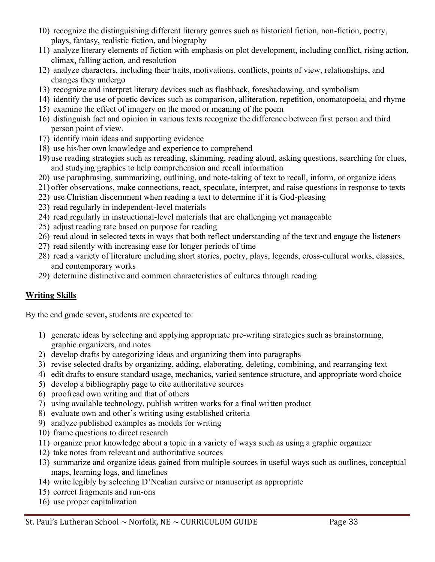- 10) recognize the distinguishing different literary genres such as historical fiction, non-fiction, poetry, plays, fantasy, realistic fiction, and biography
- 11) analyze literary elements of fiction with emphasis on plot development, including conflict, rising action, climax, falling action, and resolution
- 12) analyze characters, including their traits, motivations, conflicts, points of view, relationships, and changes they undergo
- 13) recognize and interpret literary devices such as flashback, foreshadowing, and symbolism
- 14) identify the use of poetic devices such as comparison, alliteration, repetition, onomatopoeia, and rhyme
- 15) examine the effect of imagery on the mood or meaning of the poem
- 16) distinguish fact and opinion in various texts recognize the difference between first person and third person point of view.
- 17) identify main ideas and supporting evidence
- 18) use his/her own knowledge and experience to comprehend
- 19) use reading strategies such as rereading, skimming, reading aloud, asking questions, searching for clues, and studying graphics to help comprehension and recall information
- 20) use paraphrasing, summarizing, outlining, and note-taking of text to recall, inform, or organize ideas
- 21) offer observations, make connections, react, speculate, interpret, and raise questions in response to texts
- 22) use Christian discernment when reading a text to determine if it is God-pleasing
- 23) read regularly in independent-level materials
- 24) read regularly in instructional-level materials that are challenging yet manageable
- 25) adjust reading rate based on purpose for reading
- 26) read aloud in selected texts in ways that both reflect understanding of the text and engage the listeners
- 27) read silently with increasing ease for longer periods of time
- 28) read a variety of literature including short stories, poetry, plays, legends, cross-cultural works, classics, and contemporary works
- 29) determine distinctive and common characteristics of cultures through reading

# **Writing Skills**

By the end grade seven**,** students are expected to:

- 1) generate ideas by selecting and applying appropriate pre-writing strategies such as brainstorming, graphic organizers, and notes
- 2) develop drafts by categorizing ideas and organizing them into paragraphs
- 3) revise selected drafts by organizing, adding, elaborating, deleting, combining, and rearranging text
- 4) edit drafts to ensure standard usage, mechanics, varied sentence structure, and appropriate word choice
- 5) develop a bibliography page to cite authoritative sources
- 6) proofread own writing and that of others
- 7) using available technology, publish written works for a final written product
- 8) evaluate own and other's writing using established criteria
- 9) analyze published examples as models for writing
- 10) frame questions to direct research
- 11) organize prior knowledge about a topic in a variety of ways such as using a graphic organizer
- 12) take notes from relevant and authoritative sources
- 13) summarize and organize ideas gained from multiple sources in useful ways such as outlines, conceptual maps, learning logs, and timelines
- 14) write legibly by selecting D'Nealian cursive or manuscript as appropriate
- 15) correct fragments and run-ons
- 16) use proper capitalization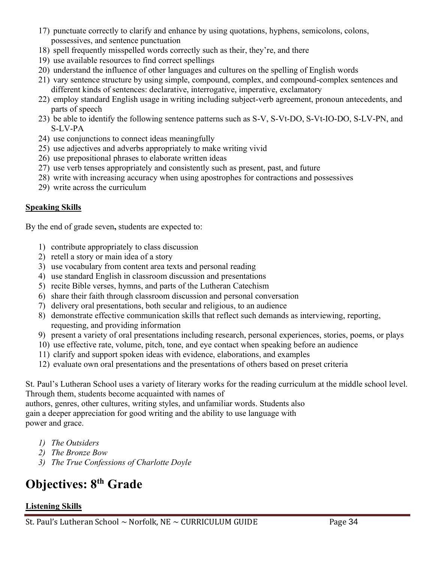- 17) punctuate correctly to clarify and enhance by using quotations, hyphens, semicolons, colons, possessives, and sentence punctuation
- 18) spell frequently misspelled words correctly such as their, they're, and there
- 19) use available resources to find correct spellings
- 20) understand the influence of other languages and cultures on the spelling of English words
- 21) vary sentence structure by using simple, compound, complex, and compound-complex sentences and different kinds of sentences: declarative, interrogative, imperative, exclamatory
- 22) employ standard English usage in writing including subject-verb agreement, pronoun antecedents, and parts of speech
- 23) be able to identify the following sentence patterns such as S-V, S-Vt-DO, S-Vt-IO-DO, S-LV-PN, and S-LV-PA
- 24) use conjunctions to connect ideas meaningfully
- 25) use adjectives and adverbs appropriately to make writing vivid
- 26) use prepositional phrases to elaborate written ideas
- 27) use verb tenses appropriately and consistently such as present, past, and future
- 28) write with increasing accuracy when using apostrophes for contractions and possessives
- 29) write across the curriculum

#### **Speaking Skills**

By the end of grade seven**,** students are expected to:

- 1) contribute appropriately to class discussion
- 2) retell a story or main idea of a story
- 3) use vocabulary from content area texts and personal reading
- 4) use standard English in classroom discussion and presentations
- 5) recite Bible verses, hymns, and parts of the Lutheran Catechism
- 6) share their faith through classroom discussion and personal conversation
- 7) delivery oral presentations, both secular and religious, to an audience
- 8) demonstrate effective communication skills that reflect such demands as interviewing, reporting, requesting, and providing information
- 9) present a variety of oral presentations including research, personal experiences, stories, poems, or plays
- 10) use effective rate, volume, pitch, tone, and eye contact when speaking before an audience
- 11) clarify and support spoken ideas with evidence, elaborations, and examples
- 12) evaluate own oral presentations and the presentations of others based on preset criteria

St. Paul's Lutheran School uses a variety of literary works for the reading curriculum at the middle school level. Through them, students become acquainted with names of

authors, genres, other cultures, writing styles, and unfamiliar words. Students also gain a deeper appreciation for good writing and the ability to use language with power and grace.

- *1) The Outsiders*
- *2) The Bronze Bow*
- *3) The True Confessions of Charlotte Doyle*

# **Objectives: 8th Grade**

#### **Listening Skills**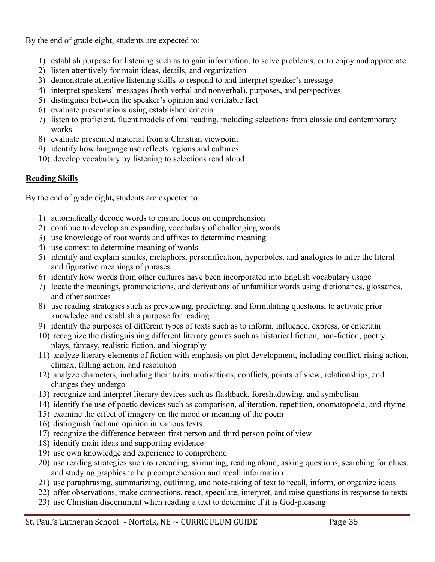By the end of grade eight, students are expected to:

- 1) establish purpose for listening such as to gain information, to solve problems, or to enjoy and appreciate
- 2) listen attentively for main ideas, details, and organization
- 3) demonstrate attentive listening skills to respond to and interpret speaker's message
- 4) interpret speakers' messages (both verbal and nonverbal), purposes, and perspectives
- 5) distinguish between the speaker's opinion and verifiable fact
- 6) evaluate presentations using established criteria
- 7) listen to proficient, fluent models of oral reading, including selections from classic and contemporary works
- 8) evaluate presented material from a Christian viewpoint
- 9) identify how language use reflects regions and cultures
- 10) develop vocabulary by listening to selections read aloud

#### **Reading Skills**

By the end of grade eight**,** students are expected to:

- 1) automatically decode words to ensure focus on comprehension
- 2) continue to develop an expanding vocabulary of challenging words
- 3) use knowledge of root words and affixes to determine meaning
- 4) use context to determine meaning of words
- 5) identify and explain similes, metaphors, personification, hyperboles, and analogies to infer the literal and figurative meanings of phrases
- 6) identify how words from other cultures have been incorporated into English vocabulary usage
- 7) locate the meanings, pronunciations, and derivations of unfamiliar words using dictionaries, glossaries, and other sources
- 8) use reading strategies such as previewing, predicting, and formulating questions, to activate prior knowledge and establish a purpose for reading
- 9) identify the purposes of different types of texts such as to inform, influence, express, or entertain
- 10) recognize the distinguishing different literary genres such as historical fiction, non-fiction, poetry, plays, fantasy, realistic fiction, and biography
- 11) analyze literary elements of fiction with emphasis on plot development, including conflict, rising action, climax, falling action, and resolution
- 12) analyze characters, including their traits, motivations, conflicts, points of view, relationships, and changes they undergo
- 13) recognize and interpret literary devices such as flashback, foreshadowing, and symbolism
- 14) identify the use of poetic devices such as comparison, alliteration, repetition, onomatopoeia, and rhyme
- 15) examine the effect of imagery on the mood or meaning of the poem
- 16) distinguish fact and opinion in various texts
- 17) recognize the difference between first person and third person point of view
- 18) identify main ideas and supporting evidence
- 19) use own knowledge and experience to comprehend
- 20) use reading strategies such as rereading, skimming, reading aloud, asking questions, searching for clues, and studying graphics to help comprehension and recall information
- 21) use paraphrasing, summarizing, outlining, and note-taking of text to recall, inform, or organize ideas
- 22) offer observations, make connections, react, speculate, interpret, and raise questions in response to texts
- 23) use Christian discernment when reading a text to determine if it is God-pleasing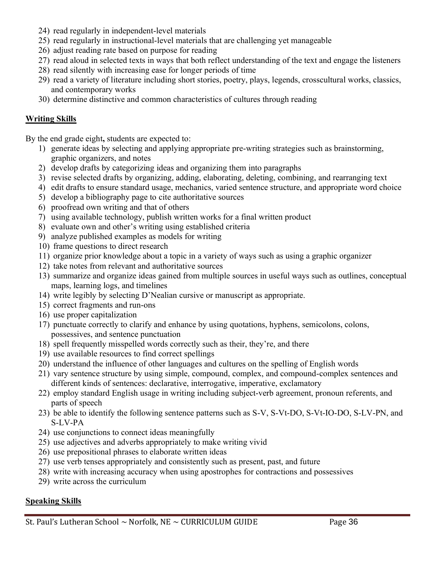- 24) read regularly in independent-level materials
- 25) read regularly in instructional-level materials that are challenging yet manageable
- 26) adjust reading rate based on purpose for reading
- 27) read aloud in selected texts in ways that both reflect understanding of the text and engage the listeners
- 28) read silently with increasing ease for longer periods of time
- 29) read a variety of literature including short stories, poetry, plays, legends, crosscultural works, classics, and contemporary works
- 30) determine distinctive and common characteristics of cultures through reading

#### **Writing Skills**

By the end grade eight**,** students are expected to:

- 1) generate ideas by selecting and applying appropriate pre-writing strategies such as brainstorming, graphic organizers, and notes
- 2) develop drafts by categorizing ideas and organizing them into paragraphs
- 3) revise selected drafts by organizing, adding, elaborating, deleting, combining, and rearranging text
- 4) edit drafts to ensure standard usage, mechanics, varied sentence structure, and appropriate word choice
- 5) develop a bibliography page to cite authoritative sources
- 6) proofread own writing and that of others
- 7) using available technology, publish written works for a final written product
- 8) evaluate own and other's writing using established criteria
- 9) analyze published examples as models for writing
- 10) frame questions to direct research
- 11) organize prior knowledge about a topic in a variety of ways such as using a graphic organizer
- 12) take notes from relevant and authoritative sources
- 13) summarize and organize ideas gained from multiple sources in useful ways such as outlines, conceptual maps, learning logs, and timelines
- 14) write legibly by selecting D'Nealian cursive or manuscript as appropriate.
- 15) correct fragments and run-ons
- 16) use proper capitalization
- 17) punctuate correctly to clarify and enhance by using quotations, hyphens, semicolons, colons, possessives, and sentence punctuation
- 18) spell frequently misspelled words correctly such as their, they're, and there
- 19) use available resources to find correct spellings
- 20) understand the influence of other languages and cultures on the spelling of English words
- 21) vary sentence structure by using simple, compound, complex, and compound-complex sentences and different kinds of sentences: declarative, interrogative, imperative, exclamatory
- 22) employ standard English usage in writing including subject-verb agreement, pronoun referents, and parts of speech
- 23) be able to identify the following sentence patterns such as S-V, S-Vt-DO, S-Vt-IO-DO, S-LV-PN, and S-LV-PA
- 24) use conjunctions to connect ideas meaningfully
- 25) use adjectives and adverbs appropriately to make writing vivid
- 26) use prepositional phrases to elaborate written ideas
- 27) use verb tenses appropriately and consistently such as present, past, and future
- 28) write with increasing accuracy when using apostrophes for contractions and possessives
- 29) write across the curriculum

#### **Speaking Skills**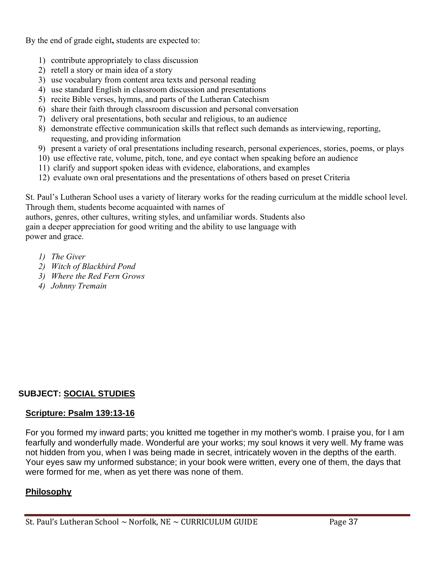By the end of grade eight**,** students are expected to:

- 1) contribute appropriately to class discussion
- 2) retell a story or main idea of a story
- 3) use vocabulary from content area texts and personal reading
- 4) use standard English in classroom discussion and presentations
- 5) recite Bible verses, hymns, and parts of the Lutheran Catechism
- 6) share their faith through classroom discussion and personal conversation
- 7) delivery oral presentations, both secular and religious, to an audience
- 8) demonstrate effective communication skills that reflect such demands as interviewing, reporting, requesting, and providing information
- 9) present a variety of oral presentations including research, personal experiences, stories, poems, or plays
- 10) use effective rate, volume, pitch, tone, and eye contact when speaking before an audience
- 11) clarify and support spoken ideas with evidence, elaborations, and examples
- 12) evaluate own oral presentations and the presentations of others based on preset Criteria

St. Paul's Lutheran School uses a variety of literary works for the reading curriculum at the middle school level. Through them, students become acquainted with names of

authors, genres, other cultures, writing styles, and unfamiliar words. Students also gain a deeper appreciation for good writing and the ability to use language with power and grace.

- *1) The Giver*
- *2) Witch of Blackbird Pond*
- *3) Where the Red Fern Grows*
- *4) Johnny Tremain*

# **SUBJECT: SOCIAL STUDIES**

# **Scripture: Psalm 139:13-16**

For you formed my inward parts; you knitted me together in my mother's womb. I praise you, for I am fearfully and wonderfully made. Wonderful are your works; my soul knows it very well. My frame was not hidden from you, when I was being made in secret, intricately woven in the depths of the earth. Your eyes saw my unformed substance; in your book were written, every one of them, the days that were formed for me, when as yet there was none of them.

# **Philosophy**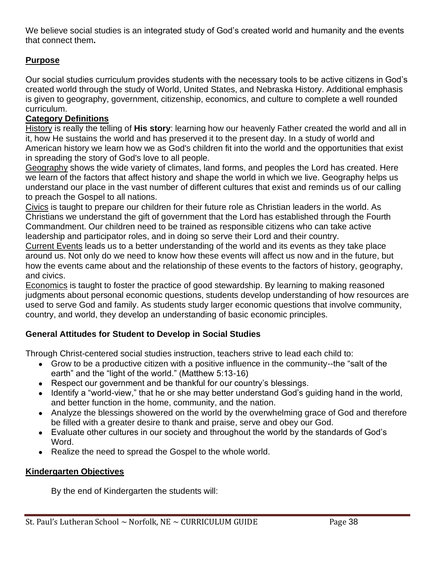We believe social studies is an integrated study of God's created world and humanity and the events that connect them**.**

# **Purpose**

Our social studies curriculum provides students with the necessary tools to be active citizens in God's created world through the study of World, United States, and Nebraska History. Additional emphasis is given to geography, government, citizenship, economics, and culture to complete a well rounded curriculum.

#### **Category Definitions**

History is really the telling of **His story**: learning how our heavenly Father created the world and all in it, how He sustains the world and has preserved it to the present day. In a study of world and American history we learn how we as God's children fit into the world and the opportunities that exist in spreading the story of God's love to all people.

Geography shows the wide variety of climates, land forms, and peoples the Lord has created. Here we learn of the factors that affect history and shape the world in which we live. Geography helps us understand our place in the vast number of different cultures that exist and reminds us of our calling to preach the Gospel to all nations.

Civics is taught to prepare our children for their future role as Christian leaders in the world. As Christians we understand the gift of government that the Lord has established through the Fourth Commandment. Our children need to be trained as responsible citizens who can take active leadership and participator roles, and in doing so serve their Lord and their country.

Current Events leads us to a better understanding of the world and its events as they take place around us. Not only do we need to know how these events will affect us now and in the future, but how the events came about and the relationship of these events to the factors of history, geography, and civics.

Economics is taught to foster the practice of good stewardship. By learning to making reasoned judgments about personal economic questions, students develop understanding of how resources are used to serve God and family. As students study larger economic questions that involve community, country, and world, they develop an understanding of basic economic principles.

# **General Attitudes for Student to Develop in Social Studies**

Through Christ-centered social studies instruction, teachers strive to lead each child to:

- Grow to be a productive citizen with a positive influence in the community--the "salt of the earth" and the "light of the world." (Matthew 5:13-16)
- Respect our government and be thankful for our country's blessings.
- Identify a "world-view," that he or she may better understand God's guiding hand in the world, and better function in the home, community, and the nation.
- Analyze the blessings showered on the world by the overwhelming grace of God and therefore be filled with a greater desire to thank and praise, serve and obey our God.
- Evaluate other cultures in our society and throughout the world by the standards of God's Word.
- Realize the need to spread the Gospel to the whole world.

# **Kindergarten Objectives**

By the end of Kindergarten the students will: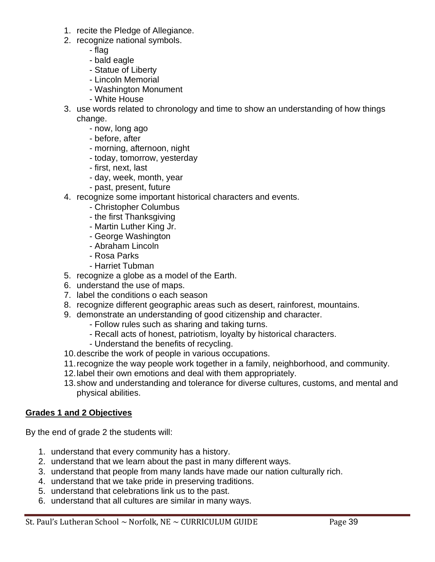- 1. recite the Pledge of Allegiance.
- 2. recognize national symbols.
	- flag
	- bald eagle
	- Statue of Liberty
	- Lincoln Memorial
	- Washington Monument
	- White House
- 3. use words related to chronology and time to show an understanding of how things change.
	- now, long ago
	- before, after
	- morning, afternoon, night
	- today, tomorrow, yesterday
	- first, next, last
	- day, week, month, year
	- past, present, future
- 4. recognize some important historical characters and events.
	- Christopher Columbus
	- the first Thanksgiving
	- Martin Luther King Jr.
	- George Washington
	- Abraham Lincoln
	- Rosa Parks
	- Harriet Tubman
- 5. recognize a globe as a model of the Earth.
- 6. understand the use of maps.
- 7. label the conditions o each season
- 8. recognize different geographic areas such as desert, rainforest, mountains.
- 9. demonstrate an understanding of good citizenship and character.
	- Follow rules such as sharing and taking turns.
	- Recall acts of honest, patriotism, loyalty by historical characters.
	- Understand the benefits of recycling.
- 10.describe the work of people in various occupations.
- 11.recognize the way people work together in a family, neighborhood, and community.
- 12.label their own emotions and deal with them appropriately.
- 13.show and understanding and tolerance for diverse cultures, customs, and mental and physical abilities.

#### **Grades 1 and 2 Objectives**

By the end of grade 2 the students will:

- 1. understand that every community has a history.
- 2. understand that we learn about the past in many different ways.
- 3. understand that people from many lands have made our nation culturally rich.
- 4. understand that we take pride in preserving traditions.
- 5. understand that celebrations link us to the past.
- 6. understand that all cultures are similar in many ways.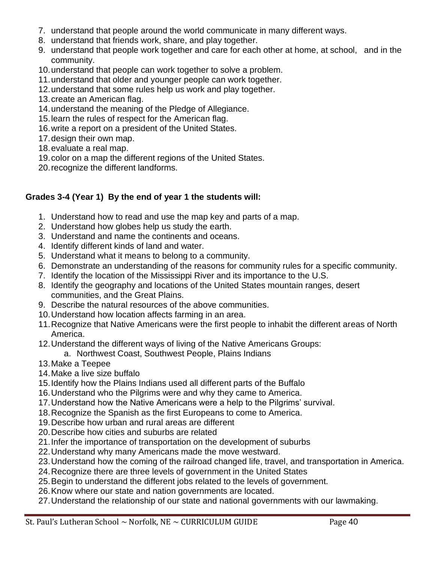- 7. understand that people around the world communicate in many different ways.
- 8. understand that friends work, share, and play together.
- 9. understand that people work together and care for each other at home, at school, and in the community.
- 10.understand that people can work together to solve a problem.
- 11.understand that older and younger people can work together.
- 12.understand that some rules help us work and play together.
- 13.create an American flag.
- 14.understand the meaning of the Pledge of Allegiance.
- 15.learn the rules of respect for the American flag.
- 16.write a report on a president of the United States.
- 17.design their own map.
- 18.evaluate a real map.
- 19.color on a map the different regions of the United States.
- 20.recognize the different landforms.

# **Grades 3-4 (Year 1) By the end of year 1 the students will:**

- 1. Understand how to read and use the map key and parts of a map.
- 2. Understand how globes help us study the earth.
- 3. Understand and name the continents and oceans.
- 4. Identify different kinds of land and water.
- 5. Understand what it means to belong to a community.
- 6. Demonstrate an understanding of the reasons for community rules for a specific community.
- 7. Identify the location of the Mississippi River and its importance to the U.S.
- 8. Identify the geography and locations of the United States mountain ranges, desert communities, and the Great Plains.
- 9. Describe the natural resources of the above communities.
- 10.Understand how location affects farming in an area.
- 11.Recognize that Native Americans were the first people to inhabit the different areas of North America.
- 12.Understand the different ways of living of the Native Americans Groups:
	- a. Northwest Coast, Southwest People, Plains Indians
- 13.Make a Teepee
- 14.Make a live size buffalo
- 15.Identify how the Plains Indians used all different parts of the Buffalo
- 16.Understand who the Pilgrims were and why they came to America.
- 17.Understand how the Native Americans were a help to the Pilgrims' survival.
- 18.Recognize the Spanish as the first Europeans to come to America.
- 19.Describe how urban and rural areas are different
- 20.Describe how cities and suburbs are related
- 21.Infer the importance of transportation on the development of suburbs
- 22.Understand why many Americans made the move westward.
- 23.Understand how the coming of the railroad changed life, travel, and transportation in America.
- 24.Recognize there are three levels of government in the United States
- 25.Begin to understand the different jobs related to the levels of government.
- 26.Know where our state and nation governments are located.
- 27.Understand the relationship of our state and national governments with our lawmaking.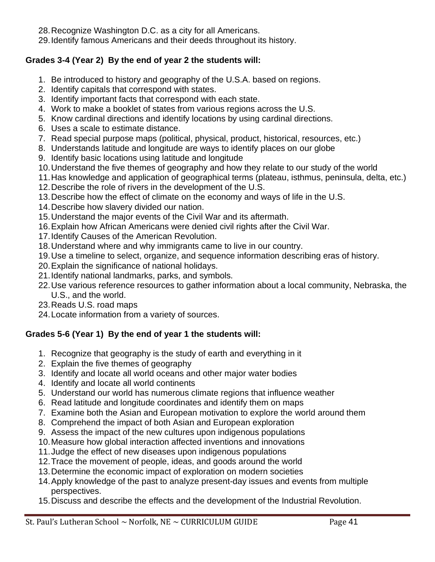28.Recognize Washington D.C. as a city for all Americans.

29.Identify famous Americans and their deeds throughout its history.

# **Grades 3-4 (Year 2) By the end of year 2 the students will:**

- 1. Be introduced to history and geography of the U.S.A. based on regions.
- 2. Identify capitals that correspond with states.
- 3. Identify important facts that correspond with each state.
- 4. Work to make a booklet of states from various regions across the U.S.
- 5. Know cardinal directions and identify locations by using cardinal directions.
- 6. Uses a scale to estimate distance.
- 7. Read special purpose maps (political, physical, product, historical, resources, etc.)
- 8. Understands latitude and longitude are ways to identify places on our globe
- 9. Identify basic locations using latitude and longitude
- 10.Understand the five themes of geography and how they relate to our study of the world
- 11.Has knowledge and application of geographical terms (plateau, isthmus, peninsula, delta, etc.)
- 12.Describe the role of rivers in the development of the U.S.
- 13.Describe how the effect of climate on the economy and ways of life in the U.S.
- 14.Describe how slavery divided our nation.
- 15.Understand the major events of the Civil War and its aftermath.
- 16.Explain how African Americans were denied civil rights after the Civil War.
- 17.Identify Causes of the American Revolution.
- 18.Understand where and why immigrants came to live in our country.
- 19.Use a timeline to select, organize, and sequence information describing eras of history.
- 20.Explain the significance of national holidays.
- 21.Identify national landmarks, parks, and symbols.
- 22.Use various reference resources to gather information about a local community, Nebraska, the U.S., and the world.
- 23.Reads U.S. road maps
- 24.Locate information from a variety of sources.

# **Grades 5-6 (Year 1) By the end of year 1 the students will:**

- 1. Recognize that geography is the study of earth and everything in it
- 2. Explain the five themes of geography
- 3. Identify and locate all world oceans and other major water bodies
- 4. Identify and locate all world continents
- 5. Understand our world has numerous climate regions that influence weather
- 6. Read latitude and longitude coordinates and identify them on maps
- 7. Examine both the Asian and European motivation to explore the world around them
- 8. Comprehend the impact of both Asian and European exploration
- 9. Assess the impact of the new cultures upon indigenous populations
- 10.Measure how global interaction affected inventions and innovations
- 11.Judge the effect of new diseases upon indigenous populations
- 12.Trace the movement of people, ideas, and goods around the world
- 13.Determine the economic impact of exploration on modern societies
- 14.Apply knowledge of the past to analyze present-day issues and events from multiple perspectives.
- 15.Discuss and describe the effects and the development of the Industrial Revolution.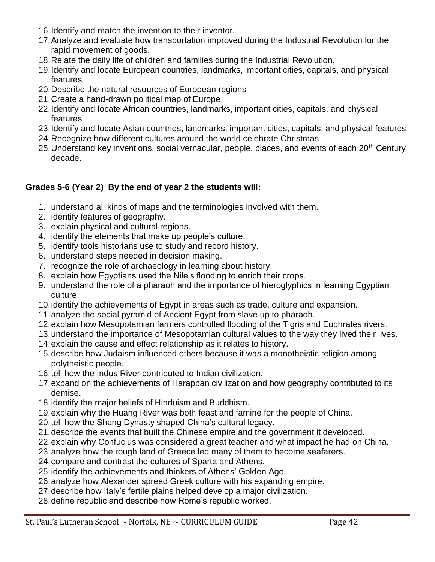- 16.Identify and match the invention to their inventor.
- 17.Analyze and evaluate how transportation improved during the Industrial Revolution for the rapid movement of goods.
- 18.Relate the daily life of children and families during the Industrial Revolution.
- 19.Identify and locate European countries, landmarks, important cities, capitals, and physical features
- 20.Describe the natural resources of European regions
- 21.Create a hand-drawn political map of Europe
- 22.Identify and locate African countries, landmarks, important cities, capitals, and physical features
- 23.Identify and locate Asian countries, landmarks, important cities, capitals, and physical features
- 24.Recognize how different cultures around the world celebrate Christmas
- 25. Understand key inventions, social vernacular, people, places, and events of each 20<sup>th</sup> Century decade.

#### **Grades 5-6 (Year 2) By the end of year 2 the students will:**

- 1. understand all kinds of maps and the terminologies involved with them.
- 2. identify features of geography.
- 3. explain physical and cultural regions.
- 4. identify the elements that make up people's culture.
- 5. identify tools historians use to study and record history.
- 6. understand steps needed in decision making.
- 7. recognize the role of archaeology in learning about history.
- 8. explain how Egyptians used the Nile's flooding to enrich their crops.
- 9. understand the role of a pharaoh and the importance of hieroglyphics in learning Egyptian culture.
- 10.identify the achievements of Egypt in areas such as trade, culture and expansion.
- 11.analyze the social pyramid of Ancient Egypt from slave up to pharaoh.
- 12.explain how Mesopotamian farmers controlled flooding of the Tigris and Euphrates rivers.
- 13.understand the importance of Mesopotamian cultural values to the way they lived their lives.
- 14.explain the cause and effect relationship as it relates to history.
- 15.describe how Judaism influenced others because it was a monotheistic religion among polytheistic people.
- 16.tell how the Indus River contributed to Indian civilization.
- 17.expand on the achievements of Harappan civilization and how geography contributed to its demise.
- 18.identify the major beliefs of Hinduism and Buddhism.
- 19.explain why the Huang River was both feast and famine for the people of China.
- 20.tell how the Shang Dynasty shaped China's cultural legacy.
- 21.describe the events that built the Chinese empire and the government it developed.
- 22.explain why Confucius was considered a great teacher and what impact he had on China.
- 23.analyze how the rough land of Greece led many of them to become seafarers.
- 24.compare and contrast the cultures of Sparta and Athens.
- 25.identify the achievements and thinkers of Athens' Golden Age.
- 26.analyze how Alexander spread Greek culture with his expanding empire.
- 27.describe how Italy's fertile plains helped develop a major civilization.
- 28.define republic and describe how Rome's republic worked.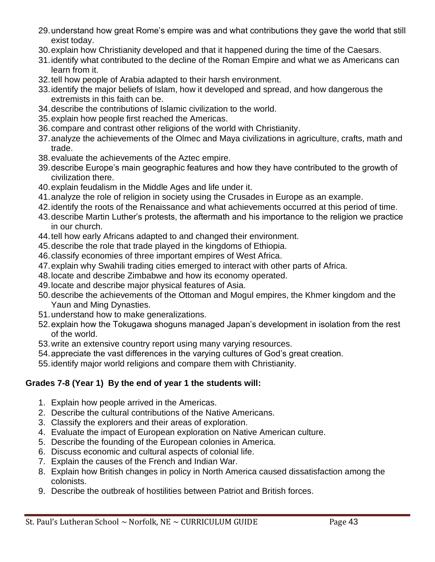- 29.understand how great Rome's empire was and what contributions they gave the world that still exist today.
- 30.explain how Christianity developed and that it happened during the time of the Caesars.
- 31.identify what contributed to the decline of the Roman Empire and what we as Americans can learn from it.
- 32.tell how people of Arabia adapted to their harsh environment.
- 33.identify the major beliefs of Islam, how it developed and spread, and how dangerous the extremists in this faith can be.
- 34.describe the contributions of Islamic civilization to the world.
- 35.explain how people first reached the Americas.
- 36.compare and contrast other religions of the world with Christianity.
- 37.analyze the achievements of the Olmec and Maya civilizations in agriculture, crafts, math and trade.
- 38.evaluate the achievements of the Aztec empire.
- 39.describe Europe's main geographic features and how they have contributed to the growth of civilization there.
- 40.explain feudalism in the Middle Ages and life under it.
- 41.analyze the role of religion in society using the Crusades in Europe as an example.
- 42.identify the roots of the Renaissance and what achievements occurred at this period of time.
- 43.describe Martin Luther's protests, the aftermath and his importance to the religion we practice in our church.
- 44.tell how early Africans adapted to and changed their environment.
- 45.describe the role that trade played in the kingdoms of Ethiopia.
- 46.classify economies of three important empires of West Africa.
- 47.explain why Swahili trading cities emerged to interact with other parts of Africa.
- 48.locate and describe Zimbabwe and how its economy operated.
- 49.locate and describe major physical features of Asia.
- 50.describe the achievements of the Ottoman and Mogul empires, the Khmer kingdom and the Yaun and Ming Dynasties.
- 51.understand how to make generalizations.
- 52.explain how the Tokugawa shoguns managed Japan's development in isolation from the rest of the world.
- 53.write an extensive country report using many varying resources.
- 54.appreciate the vast differences in the varying cultures of God's great creation.
- 55.identify major world religions and compare them with Christianity.

# **Grades 7-8 (Year 1) By the end of year 1 the students will:**

- 1. Explain how people arrived in the Americas.
- 2. Describe the cultural contributions of the Native Americans.
- 3. Classify the explorers and their areas of exploration.
- 4. Evaluate the impact of European exploration on Native American culture.
- 5. Describe the founding of the European colonies in America.
- 6. Discuss economic and cultural aspects of colonial life.
- 7. Explain the causes of the French and Indian War.
- 8. Explain how British changes in policy in North America caused dissatisfaction among the colonists.
- 9. Describe the outbreak of hostilities between Patriot and British forces.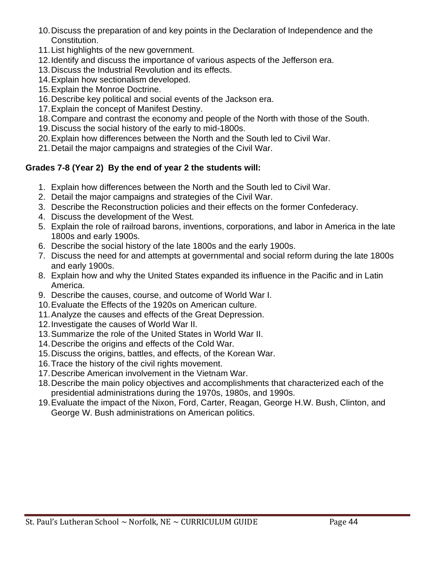- 10.Discuss the preparation of and key points in the Declaration of Independence and the Constitution.
- 11.List highlights of the new government.
- 12.Identify and discuss the importance of various aspects of the Jefferson era.
- 13.Discuss the Industrial Revolution and its effects.
- 14.Explain how sectionalism developed.
- 15.Explain the Monroe Doctrine.
- 16.Describe key political and social events of the Jackson era.
- 17.Explain the concept of Manifest Destiny.
- 18.Compare and contrast the economy and people of the North with those of the South.
- 19.Discuss the social history of the early to mid-1800s.
- 20.Explain how differences between the North and the South led to Civil War.
- 21.Detail the major campaigns and strategies of the Civil War.

# **Grades 7-8 (Year 2) By the end of year 2 the students will:**

- 1. Explain how differences between the North and the South led to Civil War.
- 2. Detail the major campaigns and strategies of the Civil War.
- 3. Describe the Reconstruction policies and their effects on the former Confederacy.
- 4. Discuss the development of the West.
- 5. Explain the role of railroad barons, inventions, corporations, and labor in America in the late 1800s and early 1900s.
- 6. Describe the social history of the late 1800s and the early 1900s.
- 7. Discuss the need for and attempts at governmental and social reform during the late 1800s and early 1900s.
- 8. Explain how and why the United States expanded its influence in the Pacific and in Latin America.
- 9. Describe the causes, course, and outcome of World War I.
- 10.Evaluate the Effects of the 1920s on American culture.
- 11.Analyze the causes and effects of the Great Depression.
- 12.Investigate the causes of World War II.
- 13.Summarize the role of the United States in World War II.
- 14.Describe the origins and effects of the Cold War.
- 15.Discuss the origins, battles, and effects, of the Korean War.
- 16.Trace the history of the civil rights movement.
- 17.Describe American involvement in the Vietnam War.
- 18.Describe the main policy objectives and accomplishments that characterized each of the presidential administrations during the 1970s, 1980s, and 1990s.
- 19.Evaluate the impact of the Nixon, Ford, Carter, Reagan, George H.W. Bush, Clinton, and George W. Bush administrations on American politics.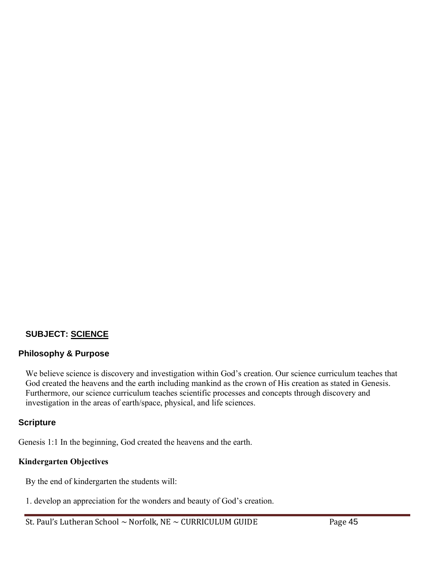#### **SUBJECT: SCIENCE**

#### **Philosophy & Purpose**

We believe science is discovery and investigation within God's creation. Our science curriculum teaches that God created the heavens and the earth including mankind as the crown of His creation as stated in Genesis. Furthermore, our science curriculum teaches scientific processes and concepts through discovery and investigation in the areas of earth/space, physical, and life sciences.

#### **Scripture**

Genesis 1:1 In the beginning, God created the heavens and the earth.

# **Kindergarten Objectives**

By the end of kindergarten the students will:

1. develop an appreciation for the wonders and beauty of God's creation.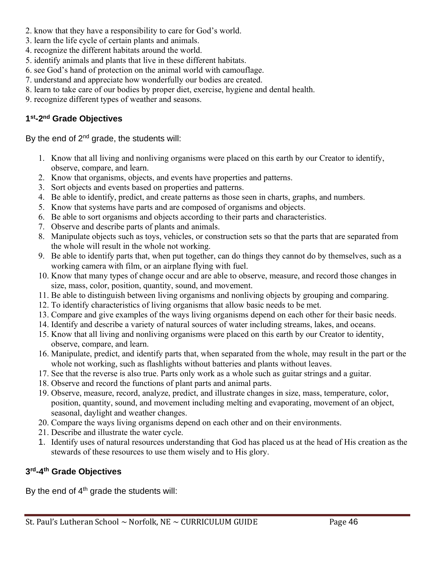- 2. know that they have a responsibility to care for God's world.
- 3. learn the life cycle of certain plants and animals.
- 4. recognize the different habitats around the world.
- 5. identify animals and plants that live in these different habitats.
- 6. see God's hand of protection on the animal world with camouflage.
- 7. understand and appreciate how wonderfully our bodies are created.
- 8. learn to take care of our bodies by proper diet, exercise, hygiene and dental health.
- 9. recognize different types of weather and seasons.

# **1 st-2 nd Grade Objectives**

By the end of  $2^{nd}$  grade, the students will:

- 1. Know that all living and nonliving organisms were placed on this earth by our Creator to identify, observe, compare, and learn.
- 2. Know that organisms, objects, and events have properties and patterns.
- 3. Sort objects and events based on properties and patterns.
- 4. Be able to identify, predict, and create patterns as those seen in charts, graphs, and numbers.
- 5. Know that systems have parts and are composed of organisms and objects.
- 6. Be able to sort organisms and objects according to their parts and characteristics.
- 7. Observe and describe parts of plants and animals.
- 8. Manipulate objects such as toys, vehicles, or construction sets so that the parts that are separated from the whole will result in the whole not working.
- 9. Be able to identify parts that, when put together, can do things they cannot do by themselves, such as a working camera with film, or an airplane flying with fuel.
- 10. Know that many types of change occur and are able to observe, measure, and record those changes in size, mass, color, position, quantity, sound, and movement.
- 11. Be able to distinguish between living organisms and nonliving objects by grouping and comparing.
- 12. To identify characteristics of living organisms that allow basic needs to be met.
- 13. Compare and give examples of the ways living organisms depend on each other for their basic needs.
- 14. Identify and describe a variety of natural sources of water including streams, lakes, and oceans.
- 15. Know that all living and nonliving organisms were placed on this earth by our Creator to identity, observe, compare, and learn.
- 16. Manipulate, predict, and identify parts that, when separated from the whole, may result in the part or the whole not working, such as flashlights without batteries and plants without leaves.
- 17. See that the reverse is also true. Parts only work as a whole such as guitar strings and a guitar.
- 18. Observe and record the functions of plant parts and animal parts.
- 19. Observe, measure, record, analyze, predict, and illustrate changes in size, mass, temperature, color, position, quantity, sound, and movement including melting and evaporating, movement of an object, seasonal, daylight and weather changes.
- 20. Compare the ways living organisms depend on each other and on their environments.
- 21. Describe and illustrate the water cycle.
- 1. Identify uses of natural resources understanding that God has placed us at the head of His creation as the stewards of these resources to use them wisely and to His glory.

# **3 rd-4 th Grade Objectives**

By the end of  $4<sup>th</sup>$  grade the students will: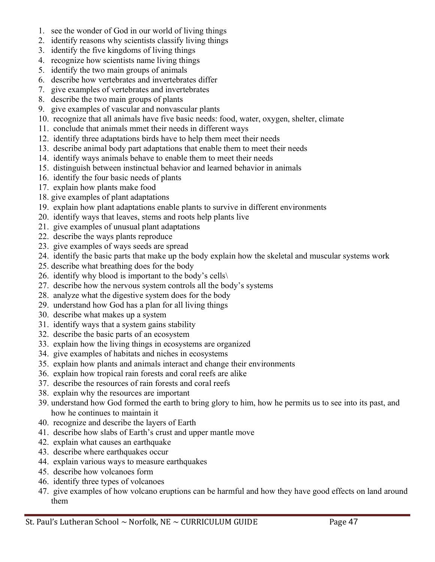- 1. see the wonder of God in our world of living things
- 2. identify reasons why scientists classify living things
- 3. identify the five kingdoms of living things
- 4. recognize how scientists name living things
- 5. identify the two main groups of animals
- 6. describe how vertebrates and invertebrates differ
- 7. give examples of vertebrates and invertebrates
- 8. describe the two main groups of plants
- 9. give examples of vascular and nonvascular plants
- 10. recognize that all animals have five basic needs: food, water, oxygen, shelter, climate
- 11. conclude that animals mmet their needs in different ways
- 12. identify three adaptations birds have to help them meet their needs
- 13. describe animal body part adaptations that enable them to meet their needs
- 14. identify ways animals behave to enable them to meet their needs
- 15. distinguish between instinctual behavior and learned behavior in animals
- 16. identify the four basic needs of plants
- 17. explain how plants make food
- 18. give examples of plant adaptations
- 19. explain how plant adaptations enable plants to survive in different environments
- 20. identify ways that leaves, stems and roots help plants live
- 21. give examples of unusual plant adaptations
- 22. describe the ways plants reproduce
- 23. give examples of ways seeds are spread
- 24. identify the basic parts that make up the body explain how the skeletal and muscular systems work
- 25. describe what breathing does for the body
- 26. identify why blood is important to the body's cells $\setminus$
- 27. describe how the nervous system controls all the body's systems
- 28. analyze what the digestive system does for the body
- 29. understand how God has a plan for all living things
- 30. describe what makes up a system
- 31. identify ways that a system gains stability
- 32. describe the basic parts of an ecosystem
- 33. explain how the living things in ecosystems are organized
- 34. give examples of habitats and niches in ecosystems
- 35. explain how plants and animals interact and change their environments
- 36. explain how tropical rain forests and coral reefs are alike
- 37. describe the resources of rain forests and coral reefs
- 38. explain why the resources are important
- 39. understand how God formed the earth to bring glory to him, how he permits us to see into its past, and how he continues to maintain it
- 40. recognize and describe the layers of Earth
- 41. describe how slabs of Earth's crust and upper mantle move
- 42. explain what causes an earthquake
- 43. describe where earthquakes occur
- 44. explain various ways to measure earthquakes
- 45. describe how volcanoes form
- 46. identify three types of volcanoes
- 47. give examples of how volcano eruptions can be harmful and how they have good effects on land around them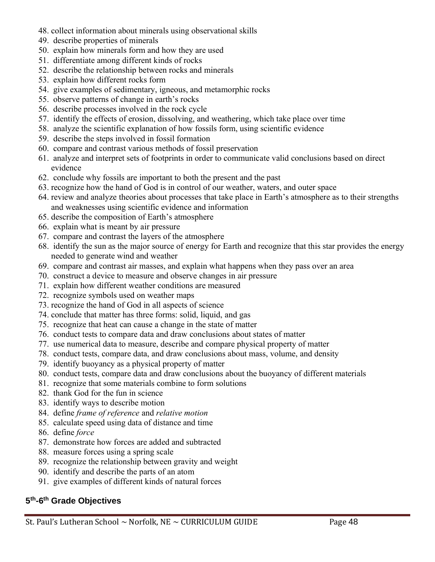- 48. collect information about minerals using observational skills
- 49. describe properties of minerals
- 50. explain how minerals form and how they are used
- 51. differentiate among different kinds of rocks
- 52. describe the relationship between rocks and minerals
- 53. explain how different rocks form
- 54. give examples of sedimentary, igneous, and metamorphic rocks
- 55. observe patterns of change in earth's rocks
- 56. describe processes involved in the rock cycle
- 57. identify the effects of erosion, dissolving, and weathering, which take place over time
- 58. analyze the scientific explanation of how fossils form, using scientific evidence
- 59. describe the steps involved in fossil formation
- 60. compare and contrast various methods of fossil preservation
- 61. analyze and interpret sets of footprints in order to communicate valid conclusions based on direct evidence
- 62. conclude why fossils are important to both the present and the past
- 63. recognize how the hand of God is in control of our weather, waters, and outer space
- 64. review and analyze theories about processes that take place in Earth's atmosphere as to their strengths and weaknesses using scientific evidence and information
- 65. describe the composition of Earth's atmosphere
- 66. explain what is meant by air pressure
- 67. compare and contrast the layers of the atmosphere
- 68. identify the sun as the major source of energy for Earth and recognize that this star provides the energy needed to generate wind and weather
- 69. compare and contrast air masses, and explain what happens when they pass over an area
- 70. construct a device to measure and observe changes in air pressure
- 71. explain how different weather conditions are measured
- 72. recognize symbols used on weather maps
- 73. recognize the hand of God in all aspects of science
- 74. conclude that matter has three forms: solid, liquid, and gas
- 75. recognize that heat can cause a change in the state of matter
- 76. conduct tests to compare data and draw conclusions about states of matter
- 77. use numerical data to measure, describe and compare physical property of matter
- 78. conduct tests, compare data, and draw conclusions about mass, volume, and density
- 79. identify buoyancy as a physical property of matter
- 80. conduct tests, compare data and draw conclusions about the buoyancy of different materials
- 81. recognize that some materials combine to form solutions
- 82. thank God for the fun in science
- 83. identify ways to describe motion
- 84. define *frame of reference* and *relative motion*
- 85. calculate speed using data of distance and time
- 86. define *force*
- 87. demonstrate how forces are added and subtracted
- 88. measure forces using a spring scale
- 89. recognize the relationship between gravity and weight
- 90. identify and describe the parts of an atom
- 91. give examples of different kinds of natural forces

#### **5 th-6 th Grade Objectives**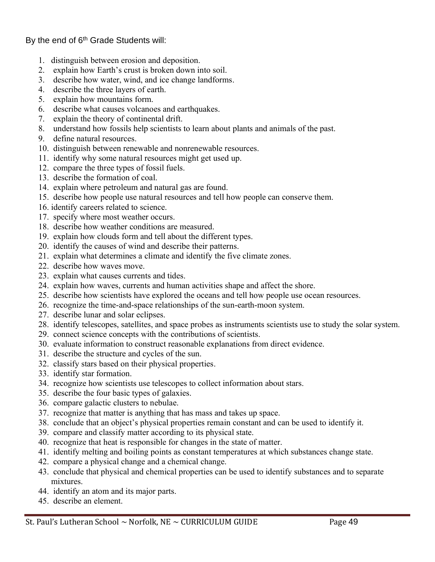By the end of  $6<sup>th</sup>$  Grade Students will:

- 1. distinguish between erosion and deposition.
- 2. explain how Earth's crust is broken down into soil.
- 3. describe how water, wind, and ice change landforms.
- 4. describe the three layers of earth.
- 5. explain how mountains form.
- 6. describe what causes volcanoes and earthquakes.
- 7. explain the theory of continental drift.
- 8. understand how fossils help scientists to learn about plants and animals of the past.
- 9. define natural resources.
- 10. distinguish between renewable and nonrenewable resources.
- 11. identify why some natural resources might get used up.
- 12. compare the three types of fossil fuels.
- 13. describe the formation of coal.
- 14. explain where petroleum and natural gas are found.
- 15. describe how people use natural resources and tell how people can conserve them.
- 16. identify careers related to science.
- 17. specify where most weather occurs.
- 18. describe how weather conditions are measured.
- 19. explain how clouds form and tell about the different types.
- 20. identify the causes of wind and describe their patterns.
- 21. explain what determines a climate and identify the five climate zones.
- 22. describe how waves move.
- 23. explain what causes currents and tides.
- 24. explain how waves, currents and human activities shape and affect the shore.
- 25. describe how scientists have explored the oceans and tell how people use ocean resources.
- 26. recognize the time-and-space relationships of the sun-earth-moon system.
- 27. describe lunar and solar eclipses.
- 28. identify telescopes, satellites, and space probes as instruments scientists use to study the solar system.
- 29. connect science concepts with the contributions of scientists.
- 30. evaluate information to construct reasonable explanations from direct evidence.
- 31. describe the structure and cycles of the sun.
- 32. classify stars based on their physical properties.
- 33. identify star formation.
- 34. recognize how scientists use telescopes to collect information about stars.
- 35. describe the four basic types of galaxies.
- 36. compare galactic clusters to nebulae.
- 37. recognize that matter is anything that has mass and takes up space.
- 38. conclude that an object's physical properties remain constant and can be used to identify it.
- 39. compare and classify matter according to its physical state.
- 40. recognize that heat is responsible for changes in the state of matter.
- 41. identify melting and boiling points as constant temperatures at which substances change state.
- 42. compare a physical change and a chemical change.
- 43. conclude that physical and chemical properties can be used to identify substances and to separate mixtures.
- 44. identify an atom and its major parts.
- 45. describe an element.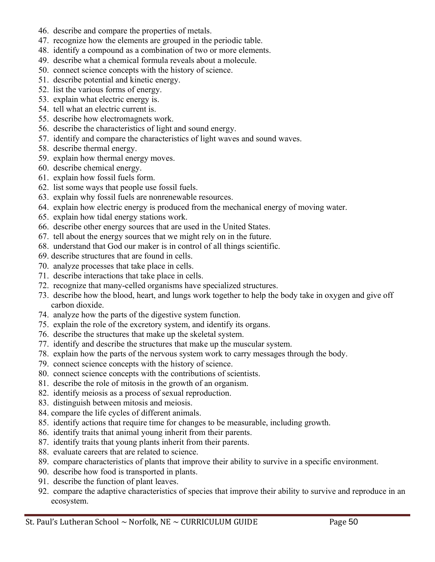- 46. describe and compare the properties of metals.
- 47. recognize how the elements are grouped in the periodic table.
- 48. identify a compound as a combination of two or more elements.
- 49. describe what a chemical formula reveals about a molecule.
- 50. connect science concepts with the history of science.
- 51. describe potential and kinetic energy.
- 52. list the various forms of energy.
- 53. explain what electric energy is.
- 54. tell what an electric current is.
- 55. describe how electromagnets work.
- 56. describe the characteristics of light and sound energy.
- 57. identify and compare the characteristics of light waves and sound waves.
- 58. describe thermal energy.
- 59. explain how thermal energy moves.
- 60. describe chemical energy.
- 61. explain how fossil fuels form.
- 62. list some ways that people use fossil fuels.
- 63. explain why fossil fuels are nonrenewable resources.
- 64. explain how electric energy is produced from the mechanical energy of moving water.
- 65. explain how tidal energy stations work.
- 66. describe other energy sources that are used in the United States.
- 67. tell about the energy sources that we might rely on in the future.
- 68. understand that God our maker is in control of all things scientific.
- 69. describe structures that are found in cells.
- 70. analyze processes that take place in cells.
- 71. describe interactions that take place in cells.
- 72. recognize that many-celled organisms have specialized structures.
- 73. describe how the blood, heart, and lungs work together to help the body take in oxygen and give off carbon dioxide.
- 74. analyze how the parts of the digestive system function.
- 75. explain the role of the excretory system, and identify its organs.
- 76. describe the structures that make up the skeletal system.
- 77. identify and describe the structures that make up the muscular system.
- 78. explain how the parts of the nervous system work to carry messages through the body.
- 79. connect science concepts with the history of science.
- 80. connect science concepts with the contributions of scientists.
- 81. describe the role of mitosis in the growth of an organism.
- 82. identify meiosis as a process of sexual reproduction.
- 83. distinguish between mitosis and meiosis.
- 84. compare the life cycles of different animals.
- 85. identify actions that require time for changes to be measurable, including growth.
- 86. identify traits that animal young inherit from their parents.
- 87. identify traits that young plants inherit from their parents.
- 88. evaluate careers that are related to science.
- 89. compare characteristics of plants that improve their ability to survive in a specific environment.
- 90. describe how food is transported in plants.
- 91. describe the function of plant leaves.
- 92. compare the adaptive characteristics of species that improve their ability to survive and reproduce in an ecosystem.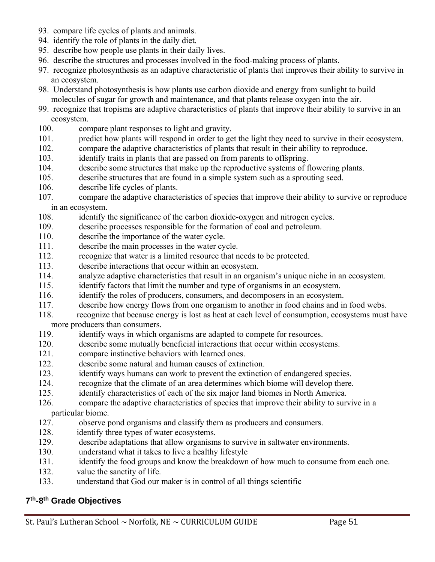- 93. compare life cycles of plants and animals.
- 94. identify the role of plants in the daily diet.
- 95. describe how people use plants in their daily lives.
- 96. describe the structures and processes involved in the food-making process of plants.
- 97. recognize photosynthesis as an adaptive characteristic of plants that improves their ability to survive in an ecosystem.
- 98. Understand photosynthesis is how plants use carbon dioxide and energy from sunlight to build molecules of sugar for growth and maintenance, and that plants release oxygen into the air.
- 99. recognize that tropisms are adaptive characteristics of plants that improve their ability to survive in an ecosystem.
- 100. compare plant responses to light and gravity.
- 101. predict how plants will respond in order to get the light they need to survive in their ecosystem.
- 102. compare the adaptive characteristics of plants that result in their ability to reproduce.
- 103. identify traits in plants that are passed on from parents to offspring.
- 104. describe some structures that make up the reproductive systems of flowering plants.
- 105. describe structures that are found in a simple system such as a sprouting seed.
- 106. describe life cycles of plants.
- 107. compare the adaptive characteristics of species that improve their ability to survive or reproduce in an ecosystem.
- 108. identify the significance of the carbon dioxide-oxygen and nitrogen cycles.
- 109. describe processes responsible for the formation of coal and petroleum.
- 110. describe the importance of the water cycle.
- 111. describe the main processes in the water cycle.
- 112. recognize that water is a limited resource that needs to be protected.
- 113. describe interactions that occur within an ecosystem.
- 114. analyze adaptive characteristics that result in an organism's unique niche in an ecosystem.
- 115. identify factors that limit the number and type of organisms in an ecosystem.
- 116. identify the roles of producers, consumers, and decomposers in an ecosystem.
- 117. describe how energy flows from one organism to another in food chains and in food webs.
- 118. recognize that because energy is lost as heat at each level of consumption, ecosystems must have more producers than consumers.
- 119. identify ways in which organisms are adapted to compete for resources.
- 120. describe some mutually beneficial interactions that occur within ecosystems.
- 121. compare instinctive behaviors with learned ones.
- 122. describe some natural and human causes of extinction.
- 123. identify ways humans can work to prevent the extinction of endangered species.
- 124. recognize that the climate of an area determines which biome will develop there.
- 125. identify characteristics of each of the six major land biomes in North America.
- 126. compare the adaptive characteristics of species that improve their ability to survive in a particular biome.
- 127. observe pond organisms and classify them as producers and consumers.
- 128. identify three types of water ecosystems.
- 129. describe adaptations that allow organisms to survive in saltwater environments.
- 130. understand what it takes to live a healthy lifestyle
- 131. identify the food groups and know the breakdown of how much to consume from each one.
- 132. value the sanctity of life.
- 133. understand that God our maker is in control of all things scientific

# **7 th-8 th Grade Objectives**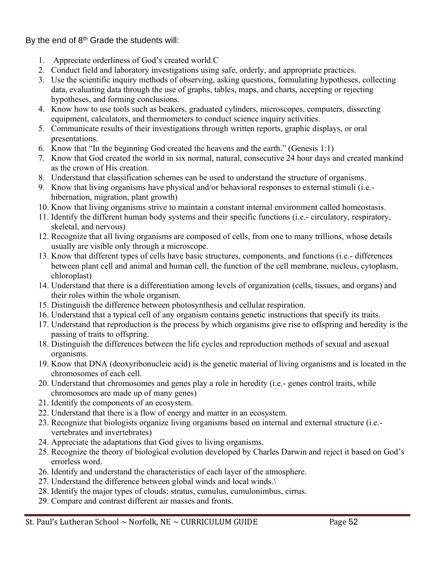By the end of  $8<sup>th</sup>$  Grade the students will:

- 1. Appreciate orderliness of God's created world.C
- 2. Conduct field and laboratory investigations using safe, orderly, and appropriate practices.
- 3. Use the scientific inquiry methods of observing, asking questions, formulating hypotheses, collecting data, evaluating data through the use of graphs, tables, maps, and charts, accepting or rejecting hypotheses, and forming conclusions.
- 4. Know how to use tools such as beakers, graduated cylinders, microscopes, computers, dissecting equipment, calculators, and thermometers to conduct science inquiry activities.
- 5. Communicate results of their investigations through written reports, graphic displays, or oral presentations.
- 6. Know that "In the beginning God created the heavens and the earth." (Genesis 1:1)
- 7. Know that God created the world in six normal, natural, consecutive 24 hour days and created mankind as the crown of His creation.
- 8. Understand that classification schemes can be used to understand the structure of organisms.
- 9. Know that living organisms have physical and/or behavioral responses to external stimuli (i.e. hibernation, migration, plant growth)
- 10. Know that living organisms strive to maintain a constant internal environment called homeostasis.
- 11. Identify the different human body systems and their specific functions (i.e.- circulatory, respiratory, skeletal, and nervous)
- 12. Recognize that all living organisms are composed of cells, from one to many trillions, whose details usually are visible only through a microscope.
- 13. Know that different types of cells have basic structures, components, and functions (i.e.- differences between plant cell and animal and human cell, the function of the cell membrane, nucleus, cytoplasm, chloroplast)
- 14. Understand that there is a differentiation among levels of organization (cells, tissues, and organs) and their roles within the whole organism.
- 15. Distinguish the difference between photosynthesis and cellular respiration.
- 16. Understand that a typical cell of any organism contains genetic instructions that specify its traits.
- 17. Understand that reproduction is the process by which organisms give rise to offspring and heredity is the passing of traits to offspring.
- 18. Distinguish the differences between the life cycles and reproduction methods of sexual and asexual organisms.
- 19. Know that DNA (deoxyribonucleic acid) is the genetic material of living organisms and is located in the chromosomes of each cell.
- 20. Understand that chromosomes and genes play a role in heredity (i.e.- genes control traits, while chromosomes are made up of many genes)
- 21. Identify the components of an ecosystem.
- 22. Understand that there is a flow of energy and matter in an ecosystem.
- 23. Recognize that biologists organize living organisms based on internal and external structure (i.e. vertebrates and invertebrates)
- 24. Appreciate the adaptations that God gives to living organisms.
- 25. Recognize the theory of biological evolution developed by Charles Darwin and reject it based on God's errorless word.
- 26. Identify and understand the characteristics of each layer of the atmosphere.
- 27. Understand the difference between global winds and local winds.\
- 28. Identify the major types of clouds: stratus, cumulus, cumulonimbus, cirrus.
- 29. Compare and contrast different air masses and fronts.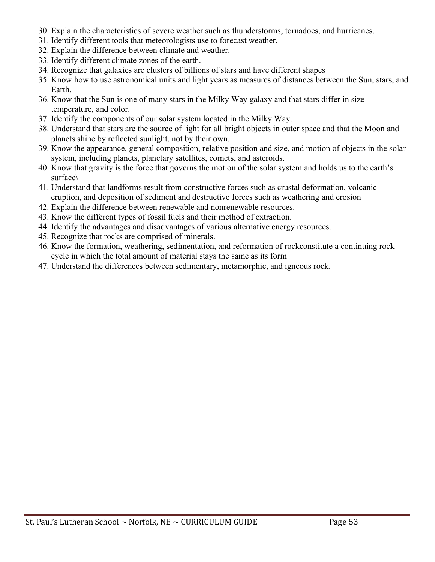- 30. Explain the characteristics of severe weather such as thunderstorms, tornadoes, and hurricanes.
- 31. Identify different tools that meteorologists use to forecast weather.
- 32. Explain the difference between climate and weather.
- 33. Identify different climate zones of the earth.
- 34. Recognize that galaxies are clusters of billions of stars and have different shapes
- 35. Know how to use astronomical units and light years as measures of distances between the Sun, stars, and Earth.
- 36. Know that the Sun is one of many stars in the Milky Way galaxy and that stars differ in size temperature, and color.
- 37. Identify the components of our solar system located in the Milky Way.
- 38. Understand that stars are the source of light for all bright objects in outer space and that the Moon and planets shine by reflected sunlight, not by their own.
- 39. Know the appearance, general composition, relative position and size, and motion of objects in the solar system, including planets, planetary satellites, comets, and asteroids.
- 40. Know that gravity is the force that governs the motion of the solar system and holds us to the earth's surface\
- 41. Understand that landforms result from constructive forces such as crustal deformation, volcanic eruption, and deposition of sediment and destructive forces such as weathering and erosion
- 42. Explain the difference between renewable and nonrenewable resources.
- 43. Know the different types of fossil fuels and their method of extraction.
- 44. Identify the advantages and disadvantages of various alternative energy resources.
- 45. Recognize that rocks are comprised of minerals.
- 46. Know the formation, weathering, sedimentation, and reformation of rockconstitute a continuing rock cycle in which the total amount of material stays the same as its form
- 47. Understand the differences between sedimentary, metamorphic, and igneous rock.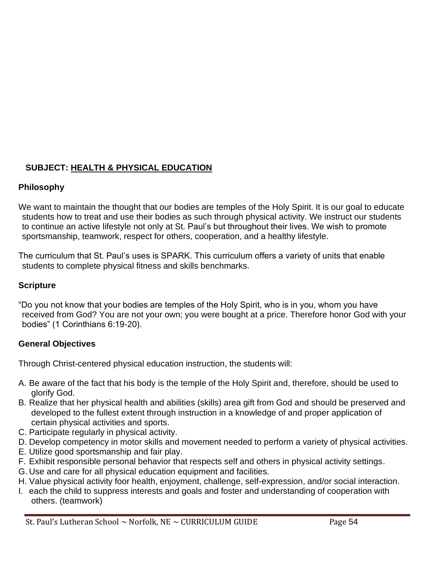# **SUBJECT: HEALTH & PHYSICAL EDUCATION**

# **Philosophy**

We want to maintain the thought that our bodies are temples of the Holy Spirit. It is our goal to educate students how to treat and use their bodies as such through physical activity. We instruct our students to continue an active lifestyle not only at St. Paul's but throughout their lives. We wish to promote sportsmanship, teamwork, respect for others, cooperation, and a healthy lifestyle.

The curriculum that St. Paul's uses is SPARK. This curriculum offers a variety of units that enable students to complete physical fitness and skills benchmarks.

# **Scripture**

"Do you not know that your bodies are temples of the Holy Spirit, who is in you, whom you have received from God? You are not your own; you were bought at a price. Therefore honor God with your bodies" (1 Corinthians 6:19-20).

# **General Objectives**

Through Christ-centered physical education instruction, the students will:

- A. Be aware of the fact that his body is the temple of the Holy Spirit and, therefore, should be used to glorify God.
- B. Realize that her physical health and abilities (skills) area gift from God and should be preserved and developed to the fullest extent through instruction in a knowledge of and proper application of certain physical activities and sports.
- C. Participate regularly in physical activity.
- D. Develop competency in motor skills and movement needed to perform a variety of physical activities.
- E. Utilize good sportsmanship and fair play.
- F. Exhibit responsible personal behavior that respects self and others in physical activity settings.
- G. Use and care for all physical education equipment and facilities.
- H. Value physical activity foor health, enjoyment, challenge, self-expression, and/or social interaction.
- I. each the child to suppress interests and goals and foster and understanding of cooperation with others. (teamwork)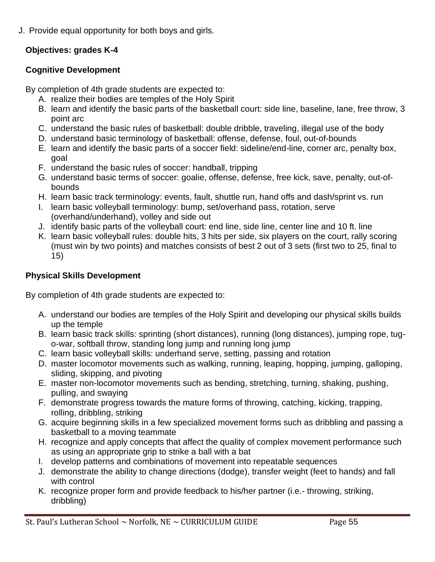J. Provide equal opportunity for both boys and girls.

# **Objectives: grades K-4**

# **Cognitive Development**

By completion of 4th grade students are expected to:

- A. realize their bodies are temples of the Holy Spirit
- B. learn and identify the basic parts of the basketball court: side line, baseline, lane, free throw, 3 point arc
- C. understand the basic rules of basketball: double dribble, traveling, illegal use of the body
- D. understand basic terminology of basketball: offense, defense, foul, out-of-bounds
- E. learn and identify the basic parts of a soccer field: sideline/end-line, corner arc, penalty box, goal
- F. understand the basic rules of soccer: handball, tripping
- G. understand basic terms of soccer: goalie, offense, defense, free kick, save, penalty, out-ofbounds
- H. learn basic track terminology: events, fault, shuttle run, hand offs and dash/sprint vs. run
- I. learn basic volleyball terminology: bump, set/overhand pass, rotation, serve (overhand/underhand), volley and side out
- J. identify basic parts of the volleyball court: end line, side line, center line and 10 ft. line
- K. learn basic volleyball rules: double hits, 3 hits per side, six players on the court, rally scoring (must win by two points) and matches consists of best 2 out of 3 sets (first two to 25, final to 15)

# **Physical Skills Development**

By completion of 4th grade students are expected to:

- A. understand our bodies are temples of the Holy Spirit and developing our physical skills builds up the temple
- B. learn basic track skills: sprinting (short distances), running (long distances), jumping rope, tugo-war, softball throw, standing long jump and running long jump
- C. learn basic volleyball skills: underhand serve, setting, passing and rotation
- D. master locomotor movements such as walking, running, leaping, hopping, jumping, galloping, sliding, skipping, and pivoting
- E. master non-locomotor movements such as bending, stretching, turning, shaking, pushing, pulling, and swaying
- F. demonstrate progress towards the mature forms of throwing, catching, kicking, trapping, rolling, dribbling, striking
- G. acquire beginning skills in a few specialized movement forms such as dribbling and passing a basketball to a moving teammate
- H. recognize and apply concepts that affect the quality of complex movement performance such as using an appropriate grip to strike a ball with a bat
- I. develop patterns and combinations of movement into repeatable sequences
- J. demonstrate the ability to change directions (dodge), transfer weight (feet to hands) and fall with control
- K. recognize proper form and provide feedback to his/her partner (i.e.- throwing, striking, dribbling)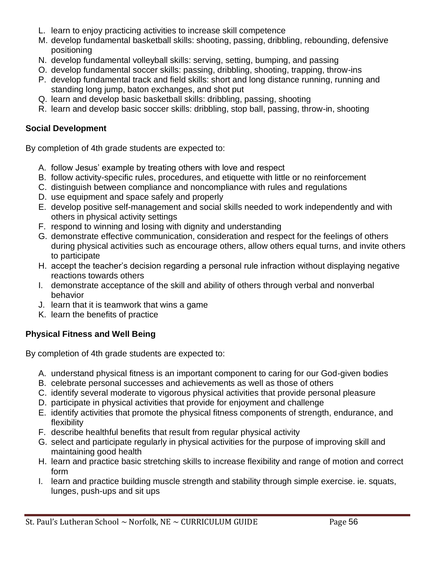- L. learn to enjoy practicing activities to increase skill competence
- M. develop fundamental basketball skills: shooting, passing, dribbling, rebounding, defensive positioning
- N. develop fundamental volleyball skills: serving, setting, bumping, and passing
- O. develop fundamental soccer skills: passing, dribbling, shooting, trapping, throw-ins
- P. develop fundamental track and field skills: short and long distance running, running and standing long jump, baton exchanges, and shot put
- Q. learn and develop basic basketball skills: dribbling, passing, shooting
- R. learn and develop basic soccer skills: dribbling, stop ball, passing, throw-in, shooting

#### **Social Development**

By completion of 4th grade students are expected to:

- A. follow Jesus' example by treating others with love and respect
- B. follow activity-specific rules, procedures, and etiquette with little or no reinforcement
- C. distinguish between compliance and noncompliance with rules and regulations
- D. use equipment and space safely and properly
- E. develop positive self-management and social skills needed to work independently and with others in physical activity settings
- F. respond to winning and losing with dignity and understanding
- G. demonstrate effective communication, consideration and respect for the feelings of others during physical activities such as encourage others, allow others equal turns, and invite others to participate
- H. accept the teacher's decision regarding a personal rule infraction without displaying negative reactions towards others
- I. demonstrate acceptance of the skill and ability of others through verbal and nonverbal behavior
- J. learn that it is teamwork that wins a game
- K. learn the benefits of practice

#### **Physical Fitness and Well Being**

By completion of 4th grade students are expected to:

- A. understand physical fitness is an important component to caring for our God-given bodies
- B. celebrate personal successes and achievements as well as those of others
- C. identify several moderate to vigorous physical activities that provide personal pleasure
- D. participate in physical activities that provide for enjoyment and challenge
- E. identify activities that promote the physical fitness components of strength, endurance, and flexibility
- F. describe healthful benefits that result from regular physical activity
- G. select and participate regularly in physical activities for the purpose of improving skill and maintaining good health
- H. learn and practice basic stretching skills to increase flexibility and range of motion and correct form
- I. learn and practice building muscle strength and stability through simple exercise. ie. squats, lunges, push-ups and sit ups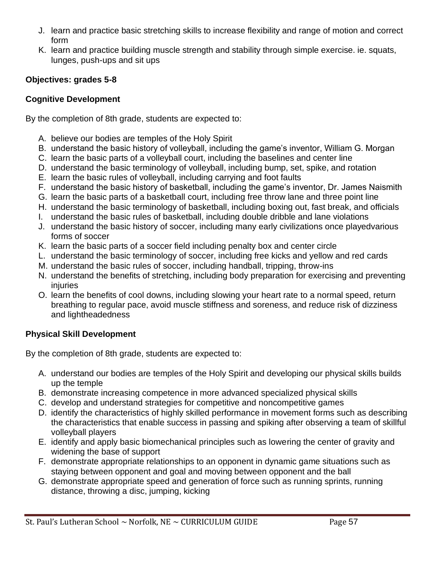- J. learn and practice basic stretching skills to increase flexibility and range of motion and correct form
- K. learn and practice building muscle strength and stability through simple exercise. ie. squats, lunges, push-ups and sit ups

### **Objectives: grades 5-8**

#### **Cognitive Development**

By the completion of 8th grade, students are expected to:

- A. believe our bodies are temples of the Holy Spirit
- B. understand the basic history of volleyball, including the game's inventor, William G. Morgan
- C. learn the basic parts of a volleyball court, including the baselines and center line
- D. understand the basic terminology of volleyball, including bump, set, spike, and rotation
- E. learn the basic rules of volleyball, including carrying and foot faults
- F. understand the basic history of basketball, including the game's inventor, Dr. James Naismith
- G. learn the basic parts of a basketball court, including free throw lane and three point line
- H. understand the basic terminology of basketball, including boxing out, fast break, and officials
- I. understand the basic rules of basketball, including double dribble and lane violations
- J. understand the basic history of soccer, including many early civilizations once playedvarious forms of soccer
- K. learn the basic parts of a soccer field including penalty box and center circle
- L. understand the basic terminology of soccer, including free kicks and yellow and red cards
- M. understand the basic rules of soccer, including handball, tripping, throw-ins
- N. understand the benefits of stretching, including body preparation for exercising and preventing injuries
- O. learn the benefits of cool downs, including slowing your heart rate to a normal speed, return breathing to regular pace, avoid muscle stiffness and soreness, and reduce risk of dizziness and lightheadedness

# **Physical Skill Development**

By the completion of 8th grade, students are expected to:

- A. understand our bodies are temples of the Holy Spirit and developing our physical skills builds up the temple
- B. demonstrate increasing competence in more advanced specialized physical skills
- C. develop and understand strategies for competitive and noncompetitive games
- D. identify the characteristics of highly skilled performance in movement forms such as describing the characteristics that enable success in passing and spiking after observing a team of skillful volleyball players
- E. identify and apply basic biomechanical principles such as lowering the center of gravity and widening the base of support
- F. demonstrate appropriate relationships to an opponent in dynamic game situations such as staying between opponent and goal and moving between opponent and the ball
- G. demonstrate appropriate speed and generation of force such as running sprints, running distance, throwing a disc, jumping, kicking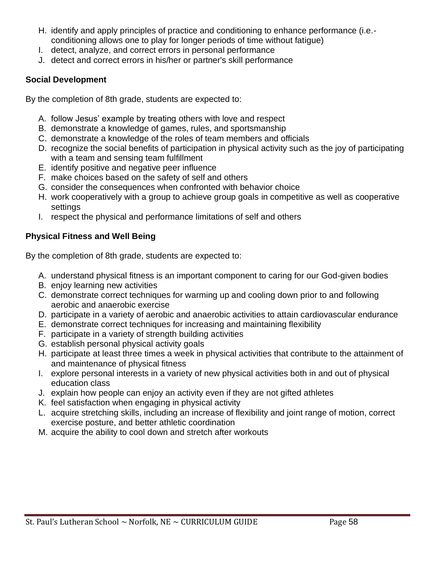- H. identify and apply principles of practice and conditioning to enhance performance (i.e. conditioning allows one to play for longer periods of time without fatigue)
- I. detect, analyze, and correct errors in personal performance
- J. detect and correct errors in his/her or partner's skill performance

#### **Social Development**

By the completion of 8th grade, students are expected to:

- A. follow Jesus' example by treating others with love and respect
- B. demonstrate a knowledge of games, rules, and sportsmanship
- C. demonstrate a knowledge of the roles of team members and officials
- D. recognize the social benefits of participation in physical activity such as the joy of participating with a team and sensing team fulfillment
- E. identify positive and negative peer influence
- F. make choices based on the safety of self and others
- G. consider the consequences when confronted with behavior choice
- H. work cooperatively with a group to achieve group goals in competitive as well as cooperative settings
- I. respect the physical and performance limitations of self and others

#### **Physical Fitness and Well Being**

By the completion of 8th grade, students are expected to:

- A. understand physical fitness is an important component to caring for our God-given bodies
- B. enjoy learning new activities
- C. demonstrate correct techniques for warming up and cooling down prior to and following aerobic and anaerobic exercise
- D. participate in a variety of aerobic and anaerobic activities to attain cardiovascular endurance
- E. demonstrate correct techniques for increasing and maintaining flexibility
- F. participate in a variety of strength building activities
- G. establish personal physical activity goals
- H. participate at least three times a week in physical activities that contribute to the attainment of and maintenance of physical fitness
- I. explore personal interests in a variety of new physical activities both in and out of physical education class
- J. explain how people can enjoy an activity even if they are not gifted athletes
- K. feel satisfaction when engaging in physical activity
- L. acquire stretching skills, including an increase of flexibility and joint range of motion, correct exercise posture, and better athletic coordination
- M. acquire the ability to cool down and stretch after workouts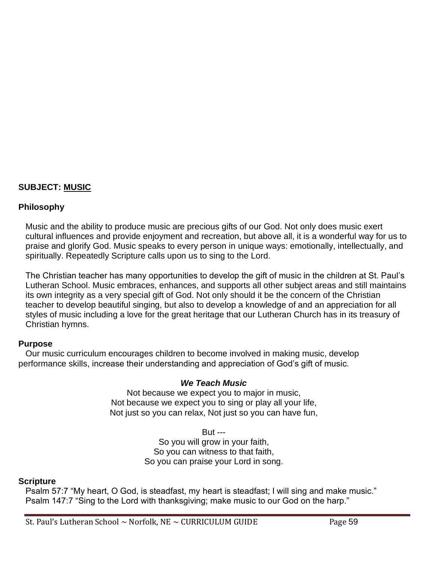#### **SUBJECT: MUSIC**

#### **Philosophy**

Music and the ability to produce music are precious gifts of our God. Not only does music exert cultural influences and provide enjoyment and recreation, but above all, it is a wonderful way for us to praise and glorify God. Music speaks to every person in unique ways: emotionally, intellectually, and spiritually. Repeatedly Scripture calls upon us to sing to the Lord.

The Christian teacher has many opportunities to develop the gift of music in the children at St. Paul's Lutheran School. Music embraces, enhances, and supports all other subject areas and still maintains its own integrity as a very special gift of God. Not only should it be the concern of the Christian teacher to develop beautiful singing, but also to develop a knowledge of and an appreciation for all styles of music including a love for the great heritage that our Lutheran Church has in its treasury of Christian hymns.

#### **Purpose**

Our music curriculum encourages children to become involved in making music, develop performance skills, increase their understanding and appreciation of God's gift of music.

#### *We Teach Music*

Not because we expect you to major in music, Not because we expect you to sing or play all your life, Not just so you can relax, Not just so you can have fun,

> But --- So you will grow in your faith, So you can witness to that faith, So you can praise your Lord in song.

#### **Scripture**

Psalm 57:7 "My heart, O God, is steadfast, my heart is steadfast; I will sing and make music." Psalm 147:7 "Sing to the Lord with thanksgiving; make music to our God on the harp."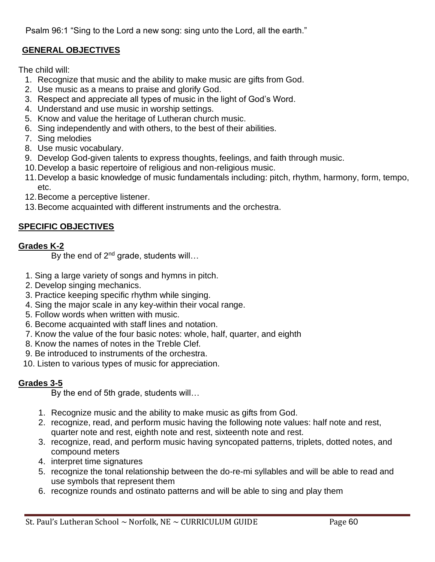Psalm 96:1 "Sing to the Lord a new song: sing unto the Lord, all the earth."

# **GENERAL OBJECTIVES**

The child will:

- 1. Recognize that music and the ability to make music are gifts from God.
- 2. Use music as a means to praise and glorify God.
- 3. Respect and appreciate all types of music in the light of God's Word.
- 4. Understand and use music in worship settings.
- 5. Know and value the heritage of Lutheran church music.
- 6. Sing independently and with others, to the best of their abilities.
- 7. Sing melodies
- 8. Use music vocabulary.
- 9. Develop God-given talents to express thoughts, feelings, and faith through music.
- 10.Develop a basic repertoire of religious and non-religious music.
- 11.Develop a basic knowledge of music fundamentals including: pitch, rhythm, harmony, form, tempo, etc.
- 12.Become a perceptive listener.
- 13.Become acquainted with different instruments and the orchestra.

# **SPECIFIC OBJECTIVES**

# **Grades K-2**

By the end of  $2^{nd}$  grade, students will...

- 1. Sing a large variety of songs and hymns in pitch.
- 2. Develop singing mechanics.
- 3. Practice keeping specific rhythm while singing.
- 4. Sing the major scale in any key-within their vocal range.
- 5. Follow words when written with music.
- 6. Become acquainted with staff lines and notation.
- 7. Know the value of the four basic notes: whole, half, quarter, and eighth
- 8. Know the names of notes in the Treble Clef.
- 9. Be introduced to instruments of the orchestra.
- 10. Listen to various types of music for appreciation.

# **Grades 3-5**

By the end of 5th grade, students will…

- 1. Recognize music and the ability to make music as gifts from God.
- 2. recognize, read, and perform music having the following note values: half note and rest, quarter note and rest, eighth note and rest, sixteenth note and rest.
- 3. recognize, read, and perform music having syncopated patterns, triplets, dotted notes, and compound meters
- 4. interpret time signatures
- 5. recognize the tonal relationship between the do-re-mi syllables and will be able to read and use symbols that represent them
- 6. recognize rounds and ostinato patterns and will be able to sing and play them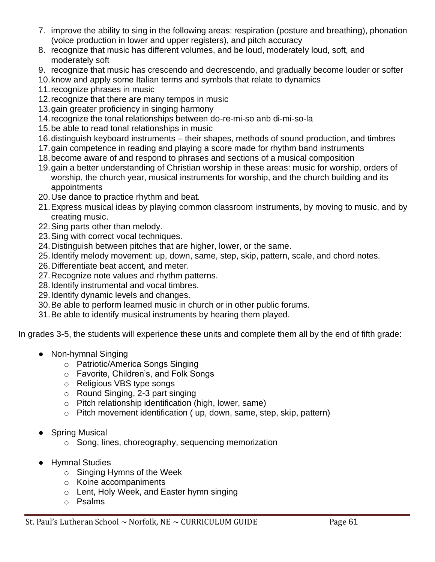- 7. improve the ability to sing in the following areas: respiration (posture and breathing), phonation (voice production in lower and upper registers), and pitch accuracy
- 8. recognize that music has different volumes, and be loud, moderately loud, soft, and moderately soft
- 9. recognize that music has crescendo and decrescendo, and gradually become louder or softer
- 10.know and apply some Italian terms and symbols that relate to dynamics
- 11.recognize phrases in music
- 12.recognize that there are many tempos in music
- 13.gain greater proficiency in singing harmony
- 14.recognize the tonal relationships between do-re-mi-so anb di-mi-so-la
- 15.be able to read tonal relationships in music
- 16.distinguish keyboard instruments their shapes, methods of sound production, and timbres
- 17.gain competence in reading and playing a score made for rhythm band instruments
- 18.become aware of and respond to phrases and sections of a musical composition
- 19.gain a better understanding of Christian worship in these areas: music for worship, orders of worship, the church year, musical instruments for worship, and the church building and its appointments
- 20.Use dance to practice rhythm and beat.
- 21.Express musical ideas by playing common classroom instruments, by moving to music, and by creating music.
- 22.Sing parts other than melody.
- 23.Sing with correct vocal techniques.
- 24.Distinguish between pitches that are higher, lower, or the same.
- 25.Identify melody movement: up, down, same, step, skip, pattern, scale, and chord notes.
- 26.Differentiate beat accent, and meter.
- 27.Recognize note values and rhythm patterns.
- 28.Identify instrumental and vocal timbres.
- 29.Identify dynamic levels and changes.
- 30.Be able to perform learned music in church or in other public forums.
- 31.Be able to identify musical instruments by hearing them played.

In grades 3-5, the students will experience these units and complete them all by the end of fifth grade:

- Non-hymnal Singing
	- o Patriotic/America Songs Singing
	- o Favorite, Children's, and Folk Songs
	- o Religious VBS type songs
	- o Round Singing, 2-3 part singing
	- o Pitch relationship identification (high, lower, same)
	- o Pitch movement identification ( up, down, same, step, skip, pattern)
- Spring Musical
	- o Song, lines, choreography, sequencing memorization
- Hymnal Studies
	- o Singing Hymns of the Week
	- o Koine accompaniments
	- o Lent, Holy Week, and Easter hymn singing
	- o Psalms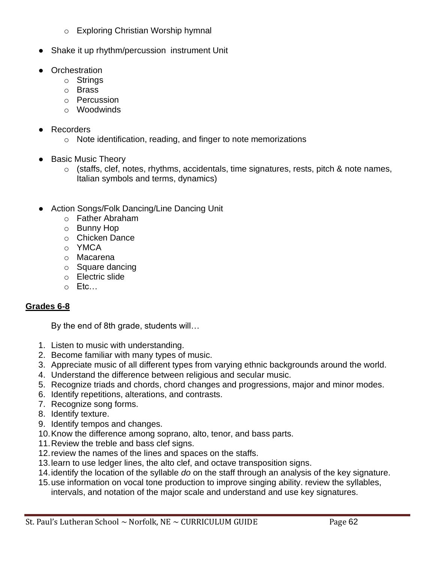- o Exploring Christian Worship hymnal
- Shake it up rhythm/percussion instrument Unit
- Orchestration
	- o Strings
	- o Brass
	- o Percussion
	- o Woodwinds
- Recorders
	- o Note identification, reading, and finger to note memorizations
- Basic Music Theory
	- $\circ$  (staffs, clef, notes, rhythms, accidentals, time signatures, rests, pitch & note names, Italian symbols and terms, dynamics)
- Action Songs/Folk Dancing/Line Dancing Unit
	- o Father Abraham
	- o Bunny Hop
	- o Chicken Dance
	- o YMCA
	- o Macarena
	- o Square dancing
	- o Electric slide
	- o Etc…

#### **Grades 6-8**

By the end of 8th grade, students will…

- 1. Listen to music with understanding.
- 2. Become familiar with many types of music.
- 3. Appreciate music of all different types from varying ethnic backgrounds around the world.
- 4. Understand the difference between religious and secular music.
- 5. Recognize triads and chords, chord changes and progressions, major and minor modes.
- 6. Identify repetitions, alterations, and contrasts.
- 7. Recognize song forms.
- 8. Identify texture.
- 9. Identify tempos and changes.
- 10.Know the difference among soprano, alto, tenor, and bass parts.
- 11.Review the treble and bass clef signs.
- 12.review the names of the lines and spaces on the staffs.
- 13.learn to use ledger lines, the alto clef, and octave transposition signs.
- 14.identify the location of the syllable *do* on the staff through an analysis of the key signature.
- 15.use information on vocal tone production to improve singing ability. review the syllables, intervals, and notation of the major scale and understand and use key signatures.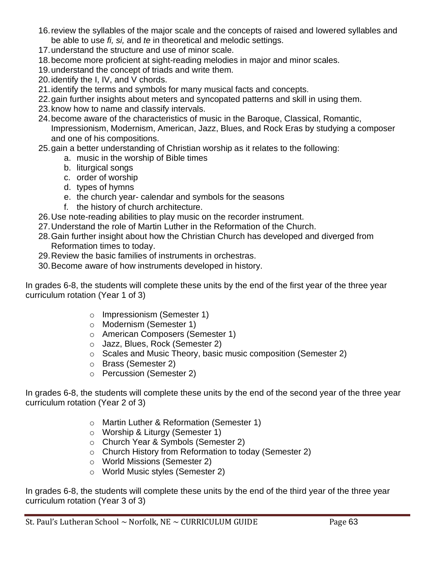- 16.review the syllables of the major scale and the concepts of raised and lowered syllables and be able to use *fi, si,* and *te* in theoretical and melodic settings.
- 17.understand the structure and use of minor scale.
- 18.become more proficient at sight-reading melodies in major and minor scales.
- 19.understand the concept of triads and write them.
- 20.identify the I, IV, and V chords.
- 21.identify the terms and symbols for many musical facts and concepts.
- 22.gain further insights about meters and syncopated patterns and skill in using them.
- 23.know how to name and classify intervals.
- 24.become aware of the characteristics of music in the Baroque, Classical, Romantic, Impressionism, Modernism, American, Jazz, Blues, and Rock Eras by studying a composer and one of his compositions.
- 25.gain a better understanding of Christian worship as it relates to the following:
	- a. music in the worship of Bible times
	- b. liturgical songs
	- c. order of worship
	- d. types of hymns
	- e. the church year- calendar and symbols for the seasons
	- f. the history of church architecture.
- 26.Use note-reading abilities to play music on the recorder instrument.
- 27.Understand the role of Martin Luther in the Reformation of the Church.
- 28.Gain further insight about how the Christian Church has developed and diverged from Reformation times to today.
- 29.Review the basic families of instruments in orchestras.
- 30.Become aware of how instruments developed in history.

In grades 6-8, the students will complete these units by the end of the first year of the three year curriculum rotation (Year 1 of 3)

- o Impressionism (Semester 1)
- o Modernism (Semester 1)
- o American Composers (Semester 1)
- o Jazz, Blues, Rock (Semester 2)
- o Scales and Music Theory, basic music composition (Semester 2)
- o Brass (Semester 2)
- o Percussion (Semester 2)

In grades 6-8, the students will complete these units by the end of the second year of the three year curriculum rotation (Year 2 of 3)

- o Martin Luther & Reformation (Semester 1)
- o Worship & Liturgy (Semester 1)
- o Church Year & Symbols (Semester 2)
- o Church History from Reformation to today (Semester 2)
- o World Missions (Semester 2)
- o World Music styles (Semester 2)

In grades 6-8, the students will complete these units by the end of the third year of the three year curriculum rotation (Year 3 of 3)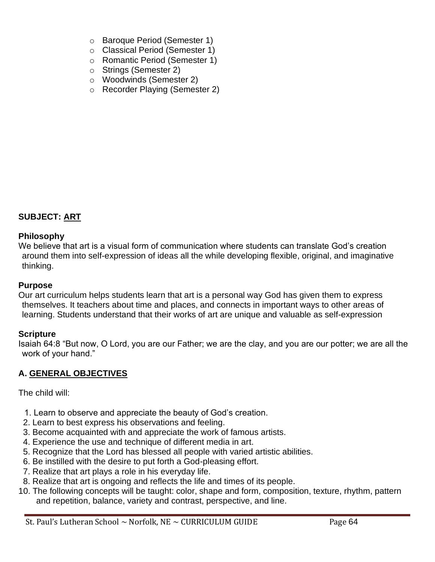- o Baroque Period (Semester 1)
- o Classical Period (Semester 1)
- o Romantic Period (Semester 1)
- o Strings (Semester 2)
- o Woodwinds (Semester 2)
- o Recorder Playing (Semester 2)

#### **SUBJECT: ART**

#### **Philosophy**

We believe that art is a visual form of communication where students can translate God's creation around them into self-expression of ideas all the while developing flexible, original, and imaginative thinking.

#### **Purpose**

Our art curriculum helps students learn that art is a personal way God has given them to express themselves. It teachers about time and places, and connects in important ways to other areas of learning. Students understand that their works of art are unique and valuable as self-expression

#### **Scripture**

Isaiah 64:8 "But now, O Lord, you are our Father; we are the clay, and you are our potter; we are all the work of your hand."

#### **A. GENERAL OBJECTIVES**

The child will:

- 1. Learn to observe and appreciate the beauty of God's creation.
- 2. Learn to best express his observations and feeling.
- 3. Become acquainted with and appreciate the work of famous artists.
- 4. Experience the use and technique of different media in art.
- 5. Recognize that the Lord has blessed all people with varied artistic abilities.
- 6. Be instilled with the desire to put forth a God-pleasing effort.
- 7. Realize that art plays a role in his everyday life.
- 8. Realize that art is ongoing and reflects the life and times of its people.
- 10. The following concepts will be taught: color, shape and form, composition, texture, rhythm, pattern and repetition, balance, variety and contrast, perspective, and line.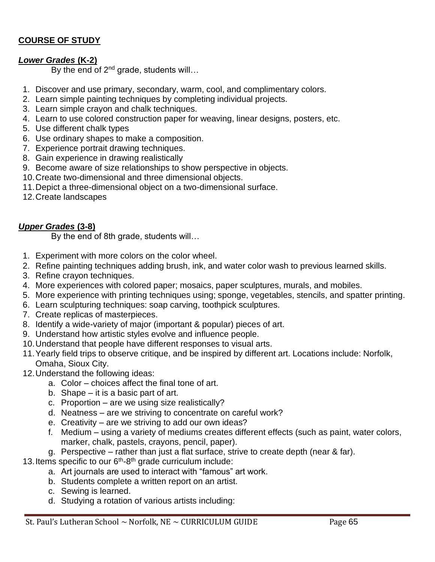# **COURSE OF STUDY**

#### *Lower Grades* **(K-2)**

By the end of 2<sup>nd</sup> grade, students will...

- 1. Discover and use primary, secondary, warm, cool, and complimentary colors.
- 2. Learn simple painting techniques by completing individual projects.
- 3. Learn simple crayon and chalk techniques.
- 4. Learn to use colored construction paper for weaving, linear designs, posters, etc.
- 5. Use different chalk types
- 6. Use ordinary shapes to make a composition.
- 7. Experience portrait drawing techniques.
- 8. Gain experience in drawing realistically
- 9. Become aware of size relationships to show perspective in objects.
- 10.Create two-dimensional and three dimensional objects.
- 11.Depict a three-dimensional object on a two-dimensional surface.
- 12.Create landscapes

#### *Upper Grades* **(3-8)**

By the end of 8th grade, students will…

- 1. Experiment with more colors on the color wheel.
- 2. Refine painting techniques adding brush, ink, and water color wash to previous learned skills.
- 3. Refine crayon techniques.
- 4. More experiences with colored paper; mosaics, paper sculptures, murals, and mobiles.
- 5. More experience with printing techniques using; sponge, vegetables, stencils, and spatter printing.
- 6. Learn sculpturing techniques: soap carving, toothpick sculptures.
- 7. Create replicas of masterpieces.
- 8. Identify a wide-variety of major (important & popular) pieces of art.
- 9. Understand how artistic styles evolve and influence people.
- 10.Understand that people have different responses to visual arts.
- 11.Yearly field trips to observe critique, and be inspired by different art. Locations include: Norfolk, Omaha, Sioux City.
- 12.Understand the following ideas:
	- a. Color choices affect the final tone of art.
	- b. Shape it is a basic part of art.
	- c. Proportion are we using size realistically?
	- d. Neatness are we striving to concentrate on careful work?
	- e. Creativity are we striving to add our own ideas?
	- f. Medium using a variety of mediums creates different effects (such as paint, water colors, marker, chalk, pastels, crayons, pencil, paper).
	- g. Perspective rather than just a flat surface, strive to create depth (near & far).
- 13. Items specific to our  $6<sup>th</sup>$ -8<sup>th</sup> grade curriculum include:
	- a. Art journals are used to interact with "famous" art work.
	- b. Students complete a written report on an artist.
	- c. Sewing is learned.
	- d. Studying a rotation of various artists including: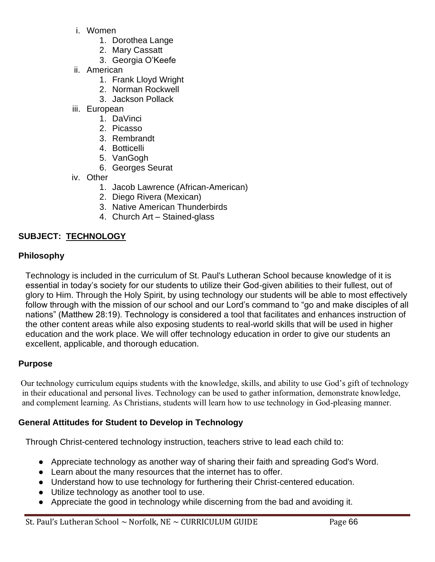- i. Women
	- 1. Dorothea Lange
	- 2. Mary Cassatt
	- 3. Georgia O'Keefe
- ii. American
	- 1. Frank Lloyd Wright
	- 2. Norman Rockwell
	- 3. Jackson Pollack
- iii. European
	- 1. DaVinci
	- 2. Picasso
	- 3. Rembrandt
	- 4. Botticelli
	- 5. VanGogh
	- 6. Georges Seurat
- iv. Other
	- 1. Jacob Lawrence (African-American)
	- 2. Diego Rivera (Mexican)
	- 3. Native American Thunderbirds
	- 4. Church Art Stained-glass

# **SUBJECT: TECHNOLOGY**

#### **Philosophy**

Technology is included in the curriculum of St. Paul's Lutheran School because knowledge of it is essential in today's society for our students to utilize their God-given abilities to their fullest, out of glory to Him. Through the Holy Spirit, by using technology our students will be able to most effectively follow through with the mission of our school and our Lord's command to "go and make disciples of all nations" (Matthew 28:19). Technology is considered a tool that facilitates and enhances instruction of the other content areas while also exposing students to real-world skills that will be used in higher education and the work place. We will offer technology education in order to give our students an excellent, applicable, and thorough education.

#### **Purpose**

Our technology curriculum equips students with the knowledge, skills, and ability to use God's gift of technology in their educational and personal lives. Technology can be used to gather information, demonstrate knowledge, and complement learning. As Christians, students will learn how to use technology in God-pleasing manner.

#### **General Attitudes for Student to Develop in Technology**

Through Christ-centered technology instruction, teachers strive to lead each child to:

- Appreciate technology as another way of sharing their faith and spreading God's Word.
- Learn about the many resources that the internet has to offer.
- Understand how to use technology for furthering their Christ-centered education.
- Utilize technology as another tool to use.
- Appreciate the good in technology while discerning from the bad and avoiding it.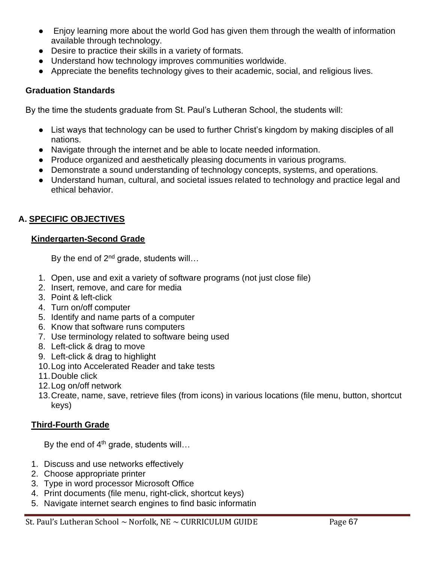- Enjoy learning more about the world God has given them through the wealth of information available through technology.
- Desire to practice their skills in a variety of formats.
- Understand how technology improves communities worldwide.
- Appreciate the benefits technology gives to their academic, social, and religious lives.

#### **Graduation Standards**

By the time the students graduate from St. Paul's Lutheran School, the students will:

- List ways that technology can be used to further Christ's kingdom by making disciples of all nations.
- Navigate through the internet and be able to locate needed information.
- Produce organized and aesthetically pleasing documents in various programs.
- Demonstrate a sound understanding of technology concepts, systems, and operations.
- Understand human, cultural, and societal issues related to technology and practice legal and ethical behavior.

# **A. SPECIFIC OBJECTIVES**

#### **Kindergarten-Second Grade**

By the end of  $2^{nd}$  grade, students will...

- 1. Open, use and exit a variety of software programs (not just close file)
- 2. Insert, remove, and care for media
- 3. Point & left-click
- 4. Turn on/off computer
- 5. Identify and name parts of a computer
- 6. Know that software runs computers
- 7. Use terminology related to software being used
- 8. Left-click & drag to move
- 9. Left-click & drag to highlight
- 10.Log into Accelerated Reader and take tests
- 11.Double click
- 12.Log on/off network
- 13.Create, name, save, retrieve files (from icons) in various locations (file menu, button, shortcut keys)

# **Third-Fourth Grade**

By the end of 4<sup>th</sup> grade, students will...

- 1. Discuss and use networks effectively
- 2. Choose appropriate printer
- 3. Type in word processor Microsoft Office
- 4. Print documents (file menu, right-click, shortcut keys)
- 5. Navigate internet search engines to find basic informatin